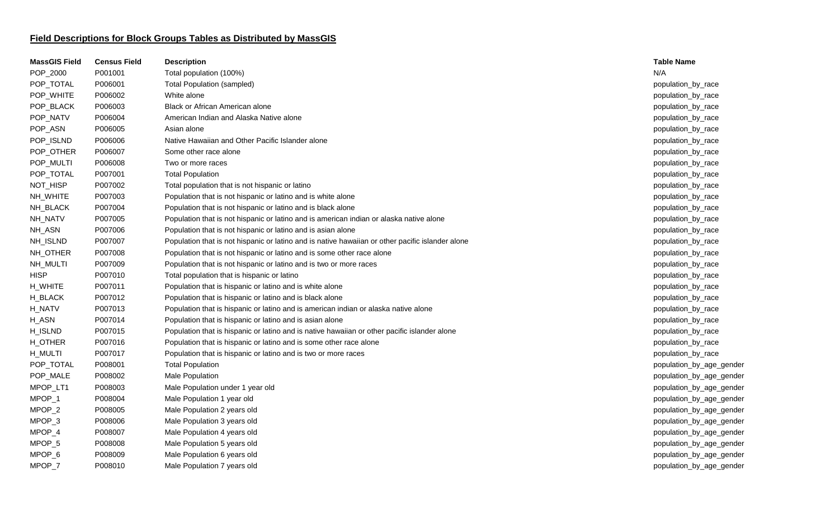## **Field Descriptions for Block Groups Tables as Distributed by MassGIS**

| <b>MassGIS Field</b> | <b>Census Field</b> | <b>Description</b>                                                                               | <b>Table Name</b>        |
|----------------------|---------------------|--------------------------------------------------------------------------------------------------|--------------------------|
| POP_2000             | P001001             | Total population (100%)                                                                          | N/A                      |
| POP_TOTAL            | P006001             | <b>Total Population (sampled)</b>                                                                | population_by_race       |
| POP_WHITE            | P006002             | White alone                                                                                      | population_by_race       |
| POP_BLACK            | P006003             | Black or African American alone                                                                  | population_by_race       |
| POP_NATV             | P006004             | American Indian and Alaska Native alone                                                          | population_by_race       |
| POP_ASN              | P006005             | Asian alone                                                                                      | population_by_race       |
| POP_ISLND            | P006006             | Native Hawaiian and Other Pacific Islander alone                                                 | population_by_race       |
| POP_OTHER            | P006007             | Some other race alone                                                                            | population_by_race       |
| POP_MULTI            | P006008             | Two or more races                                                                                | population_by_race       |
| POP_TOTAL            | P007001             | <b>Total Population</b>                                                                          | population_by_race       |
| NOT_HISP             | P007002             | Total population that is not hispanic or latino                                                  | population_by_race       |
| NH_WHITE             | P007003             | Population that is not hispanic or latino and is white alone                                     | population_by_race       |
| NH_BLACK             | P007004             | Population that is not hispanic or latino and is black alone                                     | population_by_race       |
| NH_NATV              | P007005             | Population that is not hispanic or latino and is american indian or alaska native alone          | population_by_race       |
| NH_ASN               | P007006             | Population that is not hispanic or latino and is asian alone                                     | population_by_race       |
| NH_ISLND             | P007007             | Population that is not hispanic or latino and is native hawaiian or other pacific islander alone | population_by_race       |
| NH_OTHER             | P007008             | Population that is not hispanic or latino and is some other race alone                           | population_by_race       |
| NH_MULTI             | P007009             | Population that is not hispanic or latino and is two or more races                               | population_by_race       |
| <b>HISP</b>          | P007010             | Total population that is hispanic or latino                                                      | population_by_race       |
| H WHITE              | P007011             | Population that is hispanic or latino and is white alone                                         | population_by_race       |
| H_BLACK              | P007012             | Population that is hispanic or latino and is black alone                                         | population_by_race       |
| <b>H_NATV</b>        | P007013             | Population that is hispanic or latino and is american indian or alaska native alone              | population_by_race       |
| H_ASN                | P007014             | Population that is hispanic or latino and is asian alone                                         | population_by_race       |
| H_ISLND              | P007015             | Population that is hispanic or latino and is native hawaiian or other pacific islander alone     | population_by_race       |
| H_OTHER              | P007016             | Population that is hispanic or latino and is some other race alone                               | population_by_race       |
| H_MULTI              | P007017             | Population that is hispanic or latino and is two or more races                                   | population_by_race       |
| POP_TOTAL            | P008001             | <b>Total Population</b>                                                                          | population_by_age_gender |
| POP_MALE             | P008002             | Male Population                                                                                  | population_by_age_gender |
| MPOP_LT1             | P008003             | Male Population under 1 year old                                                                 | population_by_age_gender |
| MPOP_1               | P008004             | Male Population 1 year old                                                                       | population_by_age_gender |
| MPOP_2               | P008005             | Male Population 2 years old                                                                      | population_by_age_gender |
| MPOP_3               | P008006             | Male Population 3 years old                                                                      | population_by_age_gender |
| MPOP_4               | P008007             | Male Population 4 years old                                                                      | population_by_age_gender |
| MPOP_5               | P008008             | Male Population 5 years old                                                                      | population_by_age_gender |
| MPOP <sub>6</sub>    | P008009             | Male Population 6 years old                                                                      | population_by_age_gender |
| MPOP 7               | P008010             | Male Population 7 years old                                                                      | population_by_age_gender |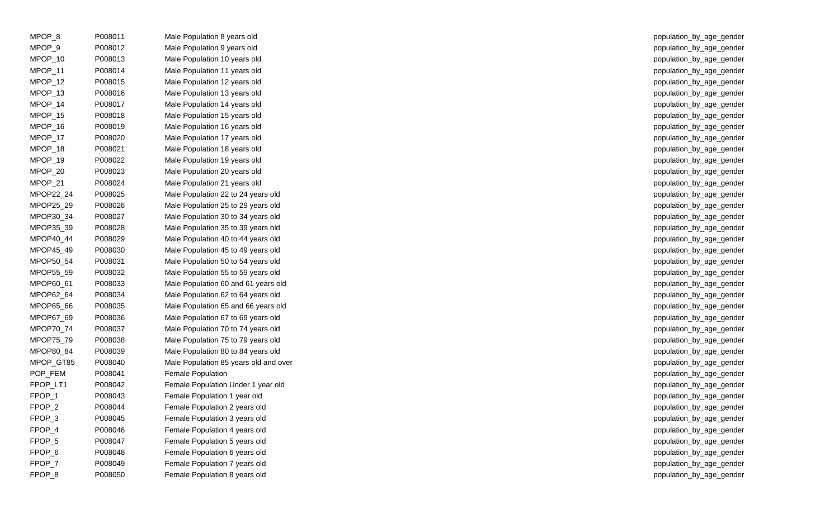| MPOP_8             | P008011 | Male Population 8 years old         |
|--------------------|---------|-------------------------------------|
| MPOP_9             | P008012 | Male Population 9 years old         |
| MPOP_10            | P008013 | Male Population 10 years old        |
| MPOP 11            | P008014 | Male Population 11 years old        |
| MPOP_12            | P008015 | Male Population 12 years old        |
| MPOP_13            | P008016 | Male Population 13 years old        |
| MPOP_14            | P008017 | Male Population 14 years old        |
| MPOP_15            | P008018 | Male Population 15 years old        |
| MPOP 16            | P008019 | Male Population 16 years old        |
| MPOP_17            | P008020 | Male Population 17 years old        |
| MPOP_18            | P008021 | Male Population 18 years old        |
| MPOP_19            | P008022 | Male Population 19 years old        |
| MPOP_20            | P008023 | Male Population 20 years old        |
| MPOP_21            | P008024 | Male Population 21 years old        |
| MPOP22_24          | P008025 | Male Population 22 to 24 years old  |
| MPOP25_29          | P008026 | Male Population 25 to 29 years old  |
| MPOP30_34          | P008027 | Male Population 30 to 34 years old  |
| MPOP35 39          | P008028 | Male Population 35 to 39 years old  |
| MPOP40 44          | P008029 | Male Population 40 to 44 years old  |
| MPOP45 49          | P008030 | Male Population 45 to 49 years old  |
| MPOP50_54          | P008031 | Male Population 50 to 54 years old  |
| MPOP55_59          | P008032 | Male Population 55 to 59 years old  |
| MPOP60_61          | P008033 | Male Population 60 and 61 years old |
| MPOP62_64          | P008034 | Male Population 62 to 64 years old  |
| MPOP65_66          | P008035 | Male Population 65 and 66 years old |
| MPOP67 69          | P008036 | Male Population 67 to 69 years old  |
| MPOP70_74          | P008037 | Male Population 70 to 74 years old  |
| MPOP75_79          | P008038 | Male Population 75 to 79 years old  |
| MPOP80_84          | P008039 | Male Population 80 to 84 years old  |
| MPOP_GT85          | P008040 | Male Population 85 years old and of |
| POP_FEM            | P008041 | <b>Female Population</b>            |
| FPOP_LT1           | P008042 | Female Population Under 1 year old  |
| FPOP 1             | P008043 | Female Population 1 year old        |
| FPOP_2             | P008044 | Female Population 2 years old       |
| FPOP <sub>_3</sub> | P008045 | Female Population 3 years old       |
| FPOP_4             | P008046 | Female Population 4 years old       |
| FPOP_5             | P008047 | Female Population 5 years old       |
| FPOP <sub>_6</sub> | P008048 | Female Population 6 years old       |
| FPOP_7             | P008049 | Female Population 7 years old       |
| FPOP <sub>8</sub>  | P008050 | Female Population 8 years old       |

population\_by\_age\_gender population\_by\_age\_gender population\_by\_age\_gender population\_by\_age\_gender population\_by\_age\_gender population\_by\_age\_gender population\_by\_age\_gender population\_by\_age\_gender population\_by\_age\_gender population\_by\_age\_gender population\_by\_age\_gender population\_by\_age\_gender population\_by\_age\_gender population\_by\_age\_gender population\_by\_age\_gender population\_by\_age\_gender population\_by\_age\_gender population\_by\_age\_gender population\_by\_age\_gender population\_by\_age\_gender population\_by\_age\_gender population\_by\_age\_gender MPOP6023 Manufacturer Manufacturer (No. 2013) Manufacturer (No. 2014) Manufacturer (No. 2014) Manufacturer (No population\_by\_age\_gender More that the extension of the extension of the extension of the extension of the population by age\_gender population\_by\_age\_gender population\_by\_age\_gender population\_by\_age\_gender population\_by\_age\_gender MPOP\_GT85 P008040 Male Population 85 years old and over population\_by\_age\_gender population\_by\_age\_gender FPOP\_LT1 P008042 Female Population Under 1 year old population\_by\_age\_gender population\_by\_age\_gender population\_by\_age\_gender population\_by\_age\_gender population\_by\_age\_gender population\_by\_age\_gender population\_by\_age\_gender population\_by\_age\_gender population\_by\_age\_gender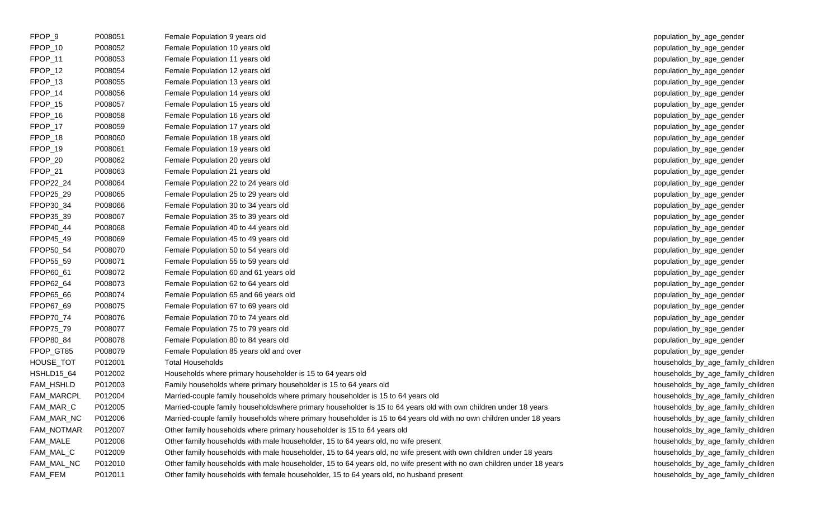| FPOP_9            | P008051 | Female Population 9 years old                                                                                          | population_by_age_gender          |
|-------------------|---------|------------------------------------------------------------------------------------------------------------------------|-----------------------------------|
| FPOP_10           | P008052 | Female Population 10 years old                                                                                         | population_by_age_gender          |
| FPOP_11           | P008053 | Female Population 11 years old                                                                                         | population_by_age_gender          |
| FPOP_12           | P008054 | Female Population 12 years old                                                                                         | population_by_age_gender          |
| FPOP_13           | P008055 | Female Population 13 years old                                                                                         | population_by_age_gender          |
| FPOP_14           | P008056 | Female Population 14 years old                                                                                         | population_by_age_gender          |
| FPOP_15           | P008057 | Female Population 15 years old                                                                                         | population_by_age_gender          |
| FPOP_16           | P008058 | Female Population 16 years old                                                                                         | population_by_age_gender          |
| FPOP_17           | P008059 | Female Population 17 years old                                                                                         | population_by_age_gender          |
| FPOP_18           | P008060 | Female Population 18 years old                                                                                         | population_by_age_gender          |
| FPOP_19           | P008061 | Female Population 19 years old                                                                                         | population_by_age_gender          |
| FPOP_20           | P008062 | Female Population 20 years old                                                                                         | population_by_age_gender          |
| FPOP_21           | P008063 | Female Population 21 years old                                                                                         | population_by_age_gender          |
| FPOP22_24         | P008064 | Female Population 22 to 24 years old                                                                                   | population_by_age_gender          |
| FPOP25_29         | P008065 | Female Population 25 to 29 years old                                                                                   | population_by_age_gender          |
| FPOP30_34         | P008066 | Female Population 30 to 34 years old                                                                                   | population_by_age_gender          |
| FPOP35_39         | P008067 | Female Population 35 to 39 years old                                                                                   | population_by_age_gender          |
| FPOP40_44         | P008068 | Female Population 40 to 44 years old                                                                                   | population_by_age_gender          |
| FPOP45_49         | P008069 | Female Population 45 to 49 years old                                                                                   | population_by_age_gender          |
| FPOP50_54         | P008070 | Female Population 50 to 54 years old                                                                                   | population_by_age_gender          |
| FPOP55_59         | P008071 | Female Population 55 to 59 years old                                                                                   | population_by_age_gender          |
| FPOP60_61         | P008072 | Female Population 60 and 61 years old                                                                                  | population_by_age_gender          |
| FPOP62_64         | P008073 | Female Population 62 to 64 years old                                                                                   | population_by_age_gender          |
| FPOP65_66         | P008074 | Female Population 65 and 66 years old                                                                                  | population_by_age_gender          |
| FPOP67_69         | P008075 | Female Population 67 to 69 years old                                                                                   | population_by_age_gender          |
| FPOP70_74         | P008076 | Female Population 70 to 74 years old                                                                                   | population_by_age_gender          |
| FPOP75_79         | P008077 | Female Population 75 to 79 years old                                                                                   | population_by_age_gender          |
| FPOP80_84         | P008078 | Female Population 80 to 84 years old                                                                                   | population_by_age_gender          |
| FPOP_GT85         | P008079 | Female Population 85 years old and over                                                                                | population_by_age_gender          |
| HOUSE_TOT         | P012001 | <b>Total Households</b>                                                                                                | households_by_age_family_children |
| HSHLD15_64        | P012002 | Households where primary householder is 15 to 64 years old                                                             | households_by_age_family_children |
| FAM_HSHLD         | P012003 | Family households where primary householder is 15 to 64 years old                                                      | households_by_age_family_children |
| <b>FAM_MARCPL</b> | P012004 | Married-couple family households where primary householder is 15 to 64 years old                                       | households_by_age_family_children |
| FAM_MAR_C         | P012005 | Married-couple family householdswhere primary householder is 15 to 64 years old with own children under 18 years       | households_by_age_family_children |
| FAM_MAR_NC        | P012006 | Married-couple family households where primary householder is 15 to 64 years old with no own children under 18 years   | households_by_age_family_children |
| FAM_NOTMAR        | P012007 | Other family households where primary householder is 15 to 64 years old                                                | households_by_age_family_children |
| FAM_MALE          | P012008 | Other family households with male householder, 15 to 64 years old, no wife present                                     | households_by_age_family_children |
| FAM_MAL_C         | P012009 | Other family households with male householder, 15 to 64 years old, no wife present with own children under 18 years    | households_by_age_family_children |
| FAM_MAL_NC        | P012010 | Other family households with male householder, 15 to 64 years old, no wife present with no own children under 18 years | households_by_age_family_children |
| FAM_FEM           | P012011 | Other family households with female householder, 15 to 64 years old, no husband present                                | households_by_age_family_children |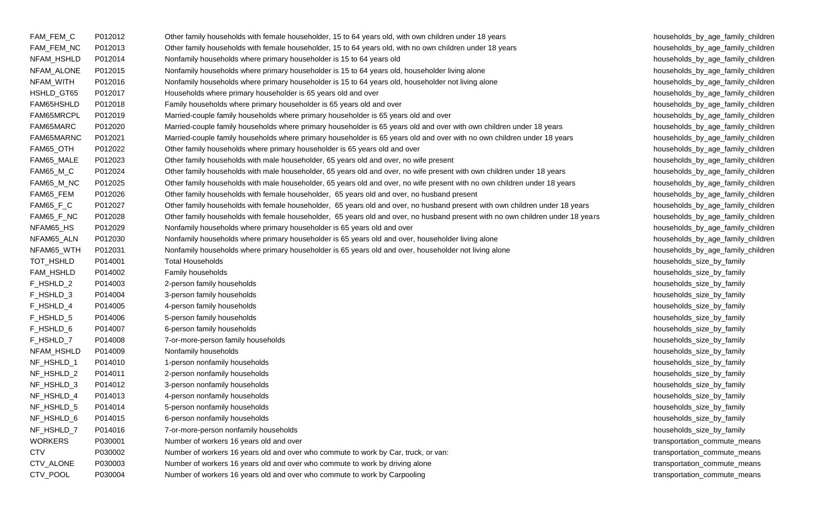| FAM FEM C      | P012012 | Other family households with female householder, 15 to 64 years old, with own children under 18 years                       |
|----------------|---------|-----------------------------------------------------------------------------------------------------------------------------|
| FAM_FEM_NC     | P012013 | Other family households with female householder, 15 to 64 years old, with no own children under 18 years                    |
| NFAM_HSHLD     | P012014 | Nonfamily households where primary householder is 15 to 64 years old                                                        |
| NFAM_ALONE     | P012015 | Nonfamily households where primary householder is 15 to 64 years old, householder living alone                              |
| NFAM_WITH      | P012016 | Nonfamily households where primary householder is 15 to 64 years old, householder not living alone                          |
| HSHLD_GT65     | P012017 | Households where primary householder is 65 years old and over                                                               |
| FAM65HSHLD     | P012018 | Family households where primary householder is 65 years old and over                                                        |
| FAM65MRCPL     | P012019 | Married-couple family households where primary householder is 65 years old and over                                         |
| FAM65MARC      | P012020 | Married-couple family households where primary householder is 65 years old and over with own children under 18 years        |
| FAM65MARNC     | P012021 | Married-couple family households where primary householder is 65 years old and over with no own children under 18 years     |
| FAM65_OTH      | P012022 | Other family households where primary householder is 65 years old and over                                                  |
| FAM65_MALE     | P012023 | Other family households with male householder, 65 years old and over, no wife present                                       |
| FAM65_M_C      | P012024 | Other family households with male householder, 65 years old and over, no wife present with own children under 18 years      |
| FAM65_M_NC     | P012025 | Other family households with male householder, 65 years old and over, no wife present with no own children under 18 years   |
| FAM65_FEM      | P012026 | Other family households with female householder, 65 years old and over, no husband present                                  |
| FAM65_F_C      | P012027 | Other family households with female householder, 65 years old and over, no husband present with own children under 18 years |
| FAM65_F_NC     | P012028 | Other family households with female householder, 65 years old and over, no husband present with no own children under 18 ye |
| NFAM65_HS      | P012029 | Nonfamily households where primary householder is 65 years old and over                                                     |
| NFAM65_ALN     | P012030 | Nonfamily households where primary householder is 65 years old and over, householder living alone                           |
| NFAM65_WTH     | P012031 | Nonfamily households where primary householder is 65 years old and over, householder not living alone                       |
| TOT_HSHLD      | P014001 | <b>Total Households</b>                                                                                                     |
| FAM_HSHLD      | P014002 | <b>Family households</b>                                                                                                    |
| F_HSHLD_2      | P014003 | 2-person family households                                                                                                  |
| F_HSHLD_3      | P014004 | 3-person family households                                                                                                  |
| F_HSHLD_4      | P014005 | 4-person family households                                                                                                  |
| F_HSHLD_5      | P014006 | 5-person family households                                                                                                  |
| F_HSHLD_6      | P014007 | 6-person family households                                                                                                  |
| F_HSHLD_7      | P014008 | 7-or-more-person family households                                                                                          |
| NFAM_HSHLD     | P014009 | Nonfamily households                                                                                                        |
| NF_HSHLD_1     | P014010 | 1-person nonfamily households                                                                                               |
| NF_HSHLD_2     | P014011 | 2-person nonfamily households                                                                                               |
| NF_HSHLD_3     | P014012 | 3-person nonfamily households                                                                                               |
| NF_HSHLD_4     | P014013 | 4-person nonfamily households                                                                                               |
| NF_HSHLD_5     | P014014 | 5-person nonfamily households                                                                                               |
| NF_HSHLD_6     | P014015 | 6-person nonfamily households                                                                                               |
| NF_HSHLD_7     | P014016 | 7-or-more-person nonfamily households                                                                                       |
| <b>WORKERS</b> | P030001 | Number of workers 16 years old and over                                                                                     |
| <b>CTV</b>     | P030002 | Number of workers 16 years old and over who commute to work by Car, truck, or van:                                          |
| CTV_ALONE      | P030003 | Number of workers 16 years old and over who commute to work by driving alone                                                |
| CTV_POOL       | P030004 | Number of workers 16 years old and over who commute to work by Carpooling                                                   |
|                |         |                                                                                                                             |

households by age family children households by age family children households\_by\_age\_family\_children households by age family children households by age family children households\_by\_age\_family\_children households\_by\_age\_family\_children households\_by\_age\_family\_children households by age family children households by age family children households by age family children households \_by \_age\_family\_children households by age family children households \_by \_age\_family\_children households by age family children FAME5025 TES POLICIPS MOUSEHOlds by age\_family\_children under with our children under with own children under ears **EAM** bouseholds by age\_family\_children households by age family children households by age family children households \_by \_age\_family\_children households\_size\_by\_family households\_size\_by\_family households\_size\_by\_family households\_size\_by\_family households\_size\_by\_family households\_size\_by\_family households\_size\_by\_family households\_size\_by\_family households\_size\_by\_family households\_size\_by\_family households\_size\_by\_family households\_size\_by\_family households\_size\_by\_family households\_size\_by\_family households\_size\_by\_family households\_size\_by\_family transportation\_commute\_means transportation\_commute\_means transportation\_commute\_means transportation\_commute\_means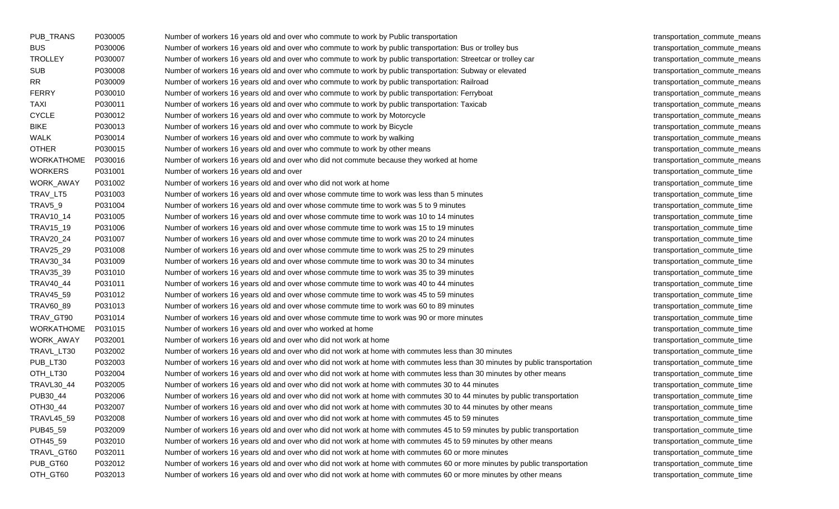| PUB_TRANS         | P030005 | Number of workers 16 years old and over who commute to work by Public transportation                                         |
|-------------------|---------|------------------------------------------------------------------------------------------------------------------------------|
| <b>BUS</b>        | P030006 | Number of workers 16 years old and over who commute to work by public transportation: Bus or trolley bus                     |
| <b>TROLLEY</b>    | P030007 | Number of workers 16 years old and over who commute to work by public transportation: Streetcar or trolley car               |
| <b>SUB</b>        | P030008 | Number of workers 16 years old and over who commute to work by public transportation: Subway or elevated                     |
| RR                | P030009 | Number of workers 16 years old and over who commute to work by public transportation: Railroad                               |
| <b>FERRY</b>      | P030010 | Number of workers 16 years old and over who commute to work by public transportation: Ferryboat                              |
| TAXI              | P030011 | Number of workers 16 years old and over who commute to work by public transportation: Taxicab                                |
| <b>CYCLE</b>      | P030012 | Number of workers 16 years old and over who commute to work by Motorcycle                                                    |
| <b>BIKE</b>       | P030013 | Number of workers 16 years old and over who commute to work by Bicycle                                                       |
| WALK              | P030014 | Number of workers 16 years old and over who commute to work by walking                                                       |
| <b>OTHER</b>      | P030015 | Number of workers 16 years old and over who commute to work by other means                                                   |
| <b>WORKATHOME</b> | P030016 | Number of workers 16 years old and over who did not commute because they worked at home                                      |
| <b>WORKERS</b>    | P031001 | Number of workers 16 years old and over                                                                                      |
| WORK_AWAY         | P031002 | Number of workers 16 years old and over who did not work at home                                                             |
| TRAV_LT5          | P031003 | Number of workers 16 years old and over whose commute time to work was less than 5 minutes                                   |
| TRAV5_9           | P031004 | Number of workers 16 years old and over whose commute time to work was 5 to 9 minutes                                        |
| TRAV10_14         | P031005 | Number of workers 16 years old and over whose commute time to work was 10 to 14 minutes                                      |
| TRAV15_19         | P031006 | Number of workers 16 years old and over whose commute time to work was 15 to 19 minutes                                      |
| TRAV20_24         | P031007 | Number of workers 16 years old and over whose commute time to work was 20 to 24 minutes                                      |
| TRAV25_29         | P031008 | Number of workers 16 years old and over whose commute time to work was 25 to 29 minutes                                      |
| TRAV30_34         | P031009 | Number of workers 16 years old and over whose commute time to work was 30 to 34 minutes                                      |
| TRAV35_39         | P031010 | Number of workers 16 years old and over whose commute time to work was 35 to 39 minutes                                      |
| TRAV40_44         | P031011 | Number of workers 16 years old and over whose commute time to work was 40 to 44 minutes                                      |
| TRAV45_59         | P031012 | Number of workers 16 years old and over whose commute time to work was 45 to 59 minutes                                      |
| TRAV60_89         | P031013 | Number of workers 16 years old and over whose commute time to work was 60 to 89 minutes                                      |
| TRAV_GT90         | P031014 | Number of workers 16 years old and over whose commute time to work was 90 or more minutes                                    |
| <b>WORKATHOME</b> | P031015 | Number of workers 16 years old and over who worked at home                                                                   |
| WORK_AWAY         | P032001 | Number of workers 16 years old and over who did not work at home                                                             |
| TRAVL_LT30        | P032002 | Number of workers 16 years old and over who did not work at home with commutes less than 30 minutes                          |
| PUB_LT30          | P032003 | Number of workers 16 years old and over who did not work at home with commutes less than 30 minutes by public transportation |
| OTH_LT30          | P032004 | Number of workers 16 years old and over who did not work at home with commutes less than 30 minutes by other means           |
| TRAVL30_44        | P032005 | Number of workers 16 years old and over who did not work at home with commutes 30 to 44 minutes                              |
| PUB30_44          | P032006 | Number of workers 16 years old and over who did not work at home with commutes 30 to 44 minutes by public transportation     |
| OTH30_44          | P032007 | Number of workers 16 years old and over who did not work at home with commutes 30 to 44 minutes by other means               |
| <b>TRAVL45_59</b> | P032008 | Number of workers 16 years old and over who did not work at home with commutes 45 to 59 minutes                              |
| PUB45_59          | P032009 | Number of workers 16 years old and over who did not work at home with commutes 45 to 59 minutes by public transportation     |
| OTH45_59          | P032010 | Number of workers 16 years old and over who did not work at home with commutes 45 to 59 minutes by other means               |
| TRAVL_GT60        | P032011 | Number of workers 16 years old and over who did not work at home with commutes 60 or more minutes                            |
| PUB_GT60          | P032012 | Number of workers 16 years old and over who did not work at home with commutes 60 or more minutes by public transportation   |
| OTH_GT60          | P032013 | Number of workers 16 years old and over who did not work at home with commutes 60 or more minutes by other means             |

transportation\_commute\_means transportation\_commute\_means transportation\_commute\_means transportation\_commute\_means transportation\_commute\_means transportation\_commute\_means transportation\_commute\_means transportation\_commute\_means transportation\_commute\_means transportation\_commute\_means transportation\_commute\_means transportation\_commute\_means transportation\_commute\_time transportation\_commute\_time transportation\_commute\_time transportation\_commute\_time transportation\_commute\_time transportation\_commute\_time transportation\_commute\_time transportation\_commute\_time transportation\_commute\_time transportation\_commute\_time transportation\_commute\_time transportation\_commute\_time transportation\_commute\_time transportation\_commute\_time transportation\_commute\_time transportation\_commute\_time transportation\_commute\_time transportation\_commute\_time transportation\_commute\_time transportation\_commute\_time transportation\_commute\_time transportation\_commute\_time transportation\_commute\_time transportation\_commute\_time transportation\_commute\_time transportation\_commute\_time transportation\_commute\_time transportation\_commute\_time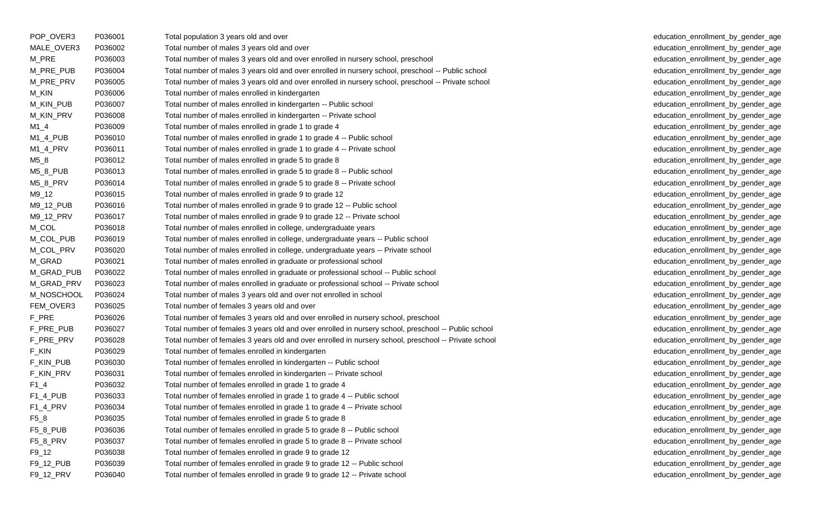| POP_OVER3  | P036001 | Total population 3 years old and over                                                                |
|------------|---------|------------------------------------------------------------------------------------------------------|
| MALE_OVER3 | P036002 | Total number of males 3 years old and over                                                           |
| M_PRE      | P036003 | Total number of males 3 years old and over enrolled in nursery school, preschool                     |
| M_PRE_PUB  | P036004 | Total number of males 3 years old and over enrolled in nursery school, preschool -- Public school    |
| M_PRE_PRV  | P036005 | Total number of males 3 years old and over enrolled in nursery school, preschool -- Private school   |
| M_KIN      | P036006 | Total number of males enrolled in kindergarten                                                       |
| M_KIN_PUB  | P036007 | Total number of males enrolled in kindergarten -- Public school                                      |
| M_KIN_PRV  | P036008 | Total number of males enrolled in kindergarten -- Private school                                     |
| $M1_4$     | P036009 | Total number of males enrolled in grade 1 to grade 4                                                 |
| $M1_4$ PUB | P036010 | Total number of males enrolled in grade 1 to grade 4 -- Public school                                |
| $M1_4$ PRV | P036011 | Total number of males enrolled in grade 1 to grade 4 -- Private school                               |
| $M5_8$     | P036012 | Total number of males enrolled in grade 5 to grade 8                                                 |
| M5_8_PUB   | P036013 | Total number of males enrolled in grade 5 to grade 8 -- Public school                                |
| M5_8_PRV   | P036014 | Total number of males enrolled in grade 5 to grade 8 -- Private school                               |
| $M9_12$    | P036015 | Total number of males enrolled in grade 9 to grade 12                                                |
| M9_12_PUB  | P036016 | Total number of males enrolled in grade 9 to grade 12 -- Public school                               |
| M9_12_PRV  | P036017 | Total number of males enrolled in grade 9 to grade 12 -- Private school                              |
| M_COL      | P036018 | Total number of males enrolled in college, undergraduate years                                       |
| M_COL_PUB  | P036019 | Total number of males enrolled in college, undergraduate years -- Public school                      |
| M_COL_PRV  | P036020 | Total number of males enrolled in college, undergraduate years -- Private school                     |
| M_GRAD     | P036021 | Total number of males enrolled in graduate or professional school                                    |
| M_GRAD_PUB | P036022 | Total number of males enrolled in graduate or professional school -- Public school                   |
| M_GRAD_PRV | P036023 | Total number of males enrolled in graduate or professional school -- Private school                  |
| M_NOSCHOOL | P036024 | Total number of males 3 years old and over not enrolled in school                                    |
| FEM_OVER3  | P036025 | Total number of females 3 years old and over                                                         |
| F_PRE      | P036026 | Total number of females 3 years old and over enrolled in nursery school, preschool                   |
| F_PRE_PUB  | P036027 | Total number of females 3 years old and over enrolled in nursery school, preschool -- Public school  |
| F_PRE_PRV  | P036028 | Total number of females 3 years old and over enrolled in nursery school, preschool -- Private school |
| F_KIN      | P036029 | Total number of females enrolled in kindergarten                                                     |
| F_KIN_PUB  | P036030 | Total number of females enrolled in kindergarten -- Public school                                    |
| F_KIN_PRV  | P036031 | Total number of females enrolled in kindergarten -- Private school                                   |
| $F1_4$     | P036032 | Total number of females enrolled in grade 1 to grade 4                                               |
| F1_4_PUB   | P036033 | Total number of females enrolled in grade 1 to grade 4 -- Public school                              |
| F1_4_PRV   | P036034 | Total number of females enrolled in grade 1 to grade 4 -- Private school                             |
| $F5_8$     | P036035 | Total number of females enrolled in grade 5 to grade 8                                               |
| F5_8_PUB   | P036036 | Total number of females enrolled in grade 5 to grade 8 -- Public school                              |
| F5_8_PRV   | P036037 | Total number of females enrolled in grade 5 to grade 8 -- Private school                             |
| F9_12      | P036038 | Total number of females enrolled in grade 9 to grade 12                                              |
| F9_12_PUB  | P036039 | Total number of females enrolled in grade 9 to grade 12 -- Public school                             |
| F9_12_PRV  | P036040 | Total number of females enrolled in grade 9 to grade 12 -- Private school                            |

education\_enrollment\_by\_gender\_age education enrollment by gender age education\_enrollment\_by\_gender\_age education\_enrollment\_by\_gender\_age education\_enrollment\_by\_gender\_age education\_enrollment\_by\_gender\_age education\_enrollment\_by\_gender\_age education\_enrollment\_by\_gender\_age education enrollment by gender age education\_enrollment\_by\_gender\_age education\_enrollment\_by\_gender\_age education\_enrollment\_by\_gender\_age education\_enrollment\_by\_gender\_age education\_enrollment\_by\_gender\_age education\_enrollment\_by\_gender\_age education\_enrollment\_by\_gender\_age education\_enrollment\_by\_gender\_age education\_enrollment\_by\_gender\_age education\_enrollment\_by\_gender\_age education\_enrollment\_by\_gender\_age education\_enrollment\_by\_gender\_age education\_enrollment\_by\_gender\_age education\_enrollment\_by\_gender\_age education\_enrollment\_by\_gender\_age education\_enrollment\_by\_gender\_age education\_enrollment\_by\_gender\_age education\_enrollment\_by\_gender\_age education\_enrollment\_by\_gender\_age education\_enrollment\_by\_gender\_age education\_enrollment\_by\_gender\_age education\_enrollment\_by\_gender\_age education\_enrollment\_by\_gender\_age education\_enrollment\_by\_gender\_age education\_enrollment\_by\_gender\_age education\_enrollment\_by\_gender\_age education\_enrollment\_by\_gender\_age education\_enrollment\_by\_gender\_age education\_enrollment\_by\_gender\_age education\_enrollment\_by\_gender\_age education\_enrollment\_by\_gender\_age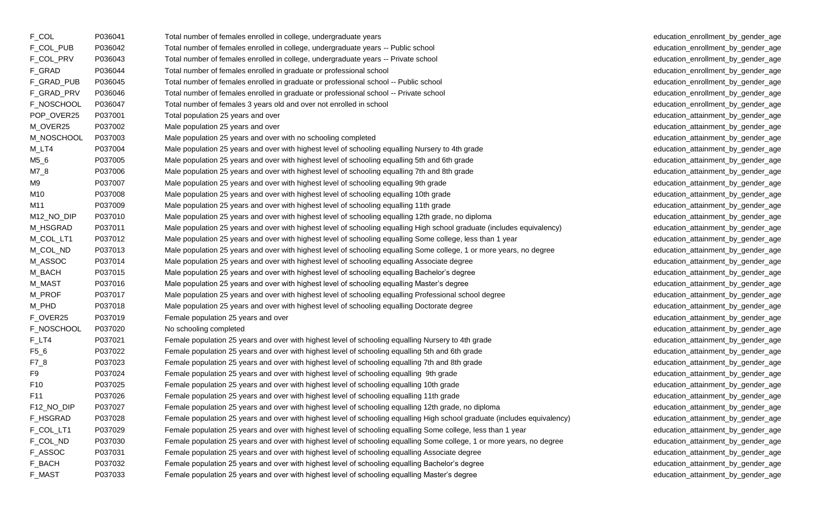| F_COL           | P036041 | Total number of females enrolled in college, undergraduate years                                                          |
|-----------------|---------|---------------------------------------------------------------------------------------------------------------------------|
| F_COL_PUB       | P036042 | Total number of females enrolled in college, undergraduate years -- Public school                                         |
| F_COL_PRV       | P036043 | Total number of females enrolled in college, undergraduate years -- Private school                                        |
| F_GRAD          | P036044 | Total number of females enrolled in graduate or professional school                                                       |
| F_GRAD_PUB      | P036045 | Total number of females enrolled in graduate or professional school -- Public school                                      |
| F_GRAD_PRV      | P036046 | Total number of females enrolled in graduate or professional school -- Private school                                     |
| F_NOSCHOOL      | P036047 | Total number of females 3 years old and over not enrolled in school                                                       |
| POP_OVER25      | P037001 | Total population 25 years and over                                                                                        |
| M_OVER25        | P037002 | Male population 25 years and over                                                                                         |
| M_NOSCHOOL      | P037003 | Male population 25 years and over with no schooling completed                                                             |
| M_LT4           | P037004 | Male population 25 years and over with highest level of schooling equalling Nursery to 4th grade                          |
| $M5_6$          | P037005 | Male population 25 years and over with highest level of schooling equalling 5th and 6th grade                             |
| $M7_8$          | P037006 | Male population 25 years and over with highest level of schooling equalling 7th and 8th grade                             |
| M9              | P037007 | Male population 25 years and over with highest level of schooling equalling 9th grade                                     |
| M10             | P037008 | Male population 25 years and over with highest level of schooling equalling 10th grade                                    |
| M11             | P037009 | Male population 25 years and over with highest level of schooling equalling 11th grade                                    |
| M12_NO_DIP      | P037010 | Male population 25 years and over with highest level of schooling equalling 12th grade, no diploma                        |
| M_HSGRAD        | P037011 | Male population 25 years and over with highest level of schooling equalling High school graduate (includes equivalency)   |
| M_COL_LT1       | P037012 | Male population 25 years and over with highest level of schooling equalling Some college, less than 1 year                |
| M_COL_ND        | P037013 | Male population 25 years and over with highest level of schooling equalling Some college, 1 or more years, no degree      |
| M_ASSOC         | P037014 | Male population 25 years and over with highest level of schooling equalling Associate degree                              |
| M_BACH          | P037015 | Male population 25 years and over with highest level of schooling equalling Bachelor's degree                             |
| M_MAST          | P037016 | Male population 25 years and over with highest level of schooling equalling Master's degree                               |
| M_PROF          | P037017 | Male population 25 years and over with highest level of schooling equalling Professional school degree                    |
| M_PHD           | P037018 | Male population 25 years and over with highest level of schooling equalling Doctorate degree                              |
| F_OVER25        | P037019 | Female population 25 years and over                                                                                       |
| F_NOSCHOOL      | P037020 | No schooling completed                                                                                                    |
| $F_LTT4$        | P037021 | Female population 25 years and over with highest level of schooling equalling Nursery to 4th grade                        |
| $F5_6$          | P037022 | Female population 25 years and over with highest level of schooling equalling 5th and 6th grade                           |
| $F7_8$          | P037023 | Female population 25 years and over with highest level of schooling equalling 7th and 8th grade                           |
| F9              | P037024 | Female population 25 years and over with highest level of schooling equalling 9th grade                                   |
| F <sub>10</sub> | P037025 | Female population 25 years and over with highest level of schooling equalling 10th grade                                  |
| F11             | P037026 | Female population 25 years and over with highest level of schooling equalling 11th grade                                  |
| F12_NO_DIP      | P037027 | Female population 25 years and over with highest level of schooling equalling 12th grade, no diploma                      |
| F_HSGRAD        | P037028 | Female population 25 years and over with highest level of schooling equalling High school graduate (includes equivalency) |
| F_COL_LT1       | P037029 | Female population 25 years and over with highest level of schooling equalling Some college, less than 1 year              |
| F_COL_ND        | P037030 | Female population 25 years and over with highest level of schooling equalling Some college, 1 or more years, no degree    |
| F_ASSOC         | P037031 | Female population 25 years and over with highest level of schooling equalling Associate degree                            |
| F_BACH          | P037032 | Female population 25 years and over with highest level of schooling equalling Bachelor's degree                           |
| <b>F_MAST</b>   | P037033 | Female population 25 years and over with highest level of schooling equalling Master's degree                             |

education\_enrollment\_by\_gender\_age education enrollment by gender age education\_enrollment\_by\_gender\_age education\_enrollment\_by\_gender\_age education\_enrollment\_by\_gender\_age education\_enrollment\_by\_gender\_age education\_enrollment\_by\_gender\_age education\_attainment\_by\_gender\_age education attainment by gender age education\_attainment\_by\_gender\_age education\_attainment\_by\_gender\_age education\_attainment\_by\_gender\_age education\_attainment\_by\_gender\_age education\_attainment\_by\_gender\_age education\_attainment\_by\_gender\_age education\_attainment\_by\_gender\_age education\_attainment\_by\_gender\_age education\_attainment\_by\_gender\_age education\_attainment\_by\_gender\_age education\_attainment\_by\_gender\_age education\_attainment\_by\_gender\_age education\_attainment\_by\_gender\_age education\_attainment\_by\_gender\_age education\_attainment\_by\_gender\_age education\_attainment\_by\_gender\_age education\_attainment\_by\_gender\_age education\_attainment\_by\_gender\_age education\_attainment\_by\_gender\_age education\_attainment\_by\_gender\_age education\_attainment\_by\_gender\_age education\_attainment\_by\_gender\_age education\_attainment\_by\_gender\_age education\_attainment\_by\_gender\_age education\_attainment\_by\_gender\_age education\_attainment\_by\_gender\_age education\_attainment\_by\_gender\_age education\_attainment\_by\_gender\_age education\_attainment\_by\_gender\_age education\_attainment\_by\_gender\_age education\_attainment\_by\_gender\_age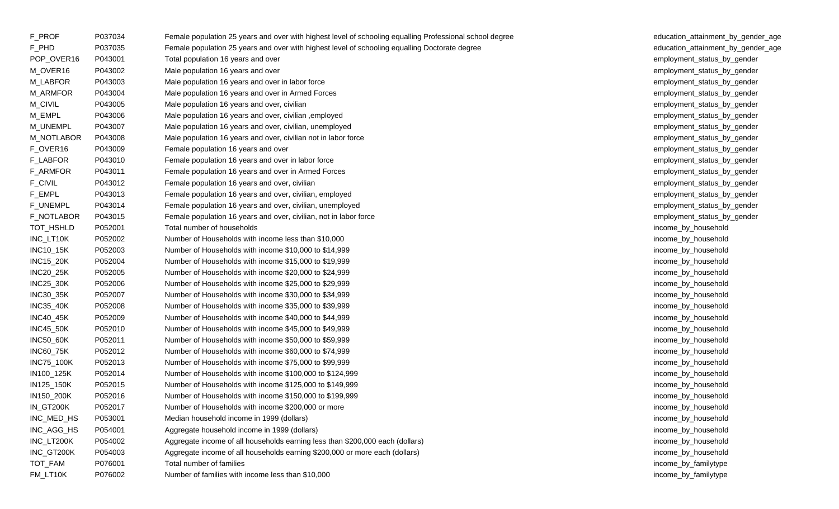| F_PROF           | P037034 | Female population 25 years and over with highest level of schooling equalling Professional school deg |
|------------------|---------|-------------------------------------------------------------------------------------------------------|
| F_PHD            | P037035 | Female population 25 years and over with highest level of schooling equalling Doctorate degree        |
| POP_OVER16       | P043001 | Total population 16 years and over                                                                    |
| M_OVER16         | P043002 | Male population 16 years and over                                                                     |
| M_LABFOR         | P043003 | Male population 16 years and over in labor force                                                      |
| <b>M_ARMFOR</b>  | P043004 | Male population 16 years and over in Armed Forces                                                     |
| M_CIVIL          | P043005 | Male population 16 years and over, civilian                                                           |
| M_EMPL           | P043006 | Male population 16 years and over, civilian , employed                                                |
| M_UNEMPL         | P043007 | Male population 16 years and over, civilian, unemployed                                               |
| M_NOTLABOR       | P043008 | Male population 16 years and over, civilian not in labor force                                        |
| F_OVER16         | P043009 | Female population 16 years and over                                                                   |
| <b>F_LABFOR</b>  | P043010 | Female population 16 years and over in labor force                                                    |
| <b>F_ARMFOR</b>  | P043011 | Female population 16 years and over in Armed Forces                                                   |
| F_CIVIL          | P043012 | Female population 16 years and over, civilian                                                         |
| F_EMPL           | P043013 | Female population 16 years and over, civilian, employed                                               |
| F_UNEMPL         | P043014 | Female population 16 years and over, civilian, unemployed                                             |
| F_NOTLABOR       | P043015 | Female population 16 years and over, civilian, not in labor force                                     |
| TOT_HSHLD        | P052001 | Total number of households                                                                            |
| INC_LT10K        | P052002 | Number of Households with income less than \$10,000                                                   |
| <b>INC10_15K</b> | P052003 | Number of Households with income \$10,000 to \$14,999                                                 |
| <b>INC15_20K</b> | P052004 | Number of Households with income \$15,000 to \$19,999                                                 |
| <b>INC20_25K</b> | P052005 | Number of Households with income \$20,000 to \$24,999                                                 |
| INC25_30K        | P052006 | Number of Households with income \$25,000 to \$29,999                                                 |
| INC30_35K        | P052007 | Number of Households with income \$30,000 to \$34,999                                                 |
| INC35_40K        | P052008 | Number of Households with income \$35,000 to \$39,999                                                 |
| <b>INC40_45K</b> | P052009 | Number of Households with income \$40,000 to \$44,999                                                 |
| <b>INC45_50K</b> | P052010 | Number of Households with income \$45,000 to \$49,999                                                 |
| <b>INC50_60K</b> | P052011 | Number of Households with income \$50,000 to \$59,999                                                 |
| <b>INC60_75K</b> | P052012 | Number of Households with income \$60,000 to \$74,999                                                 |
| INC75_100K       | P052013 | Number of Households with income \$75,000 to \$99,999                                                 |
| IN100_125K       | P052014 | Number of Households with income \$100,000 to \$124,999                                               |
| IN125_150K       | P052015 | Number of Households with income \$125,000 to \$149,999                                               |
| IN150_200K       | P052016 | Number of Households with income \$150,000 to \$199,999                                               |
| IN_GT200K        | P052017 | Number of Households with income \$200,000 or more                                                    |
| INC_MED_HS       | P053001 | Median household income in 1999 (dollars)                                                             |
| INC_AGG_HS       | P054001 | Aggregate household income in 1999 (dollars)                                                          |
| INC_LT200K       | P054002 | Aggregate income of all households earning less than \$200,000 each (dollars)                         |
| INC_GT200K       | P054003 | Aggregate income of all households earning \$200,000 or more each (dollars)                           |
| TOT_FAM          | P076001 | Total number of families                                                                              |
| FM_LT10K         | P076002 | Number of families with income less than \$10,000                                                     |

FROF POSTOS4 FEMALE present in the school of school degree education attainment\_by\_gender\_age education\_attainment\_by\_gender\_age employment\_status\_by\_gender employment\_status\_by\_gender employment\_status\_by\_gender employment\_status\_by\_gender employment\_status\_by\_gender employment\_status\_by\_gender employment\_status\_by\_gender employment\_status\_by\_gender employment\_status\_by\_gender employment\_status\_by\_gender employment\_status\_by\_gender employment\_status\_by\_gender employment\_status\_by\_gender employment\_status\_by\_gender employment\_status\_by\_gender income\_by\_household income\_by\_household income\_by\_household income\_by\_household income\_by\_household income\_by\_household income\_by\_household income\_by\_household income\_by\_household income\_by\_household income\_by\_household income\_by\_household income\_by\_household income\_by\_household income\_by\_household income\_by\_household income\_by\_household income\_by\_household income\_by\_household income\_by\_household income\_by\_household income\_by\_familytype income\_by\_familytype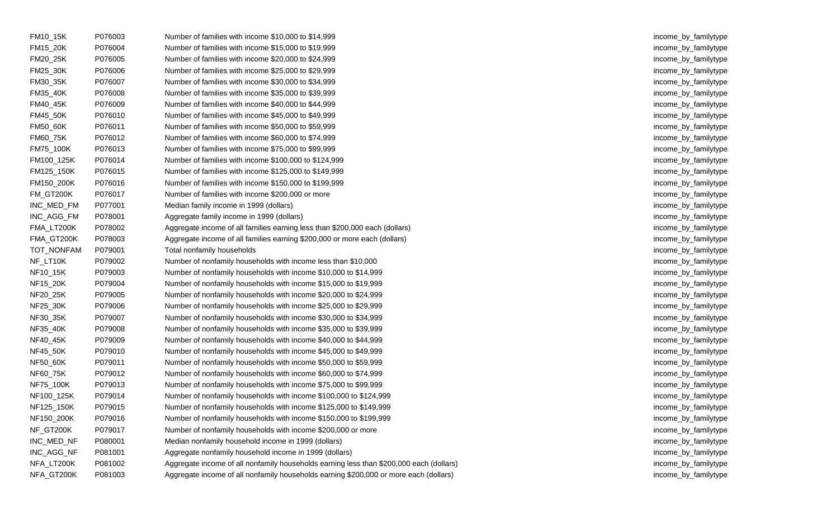| FM10_15K   | P076003 | Number of families with income \$10,000 to \$14,999                              |
|------------|---------|----------------------------------------------------------------------------------|
| FM15_20K   | P076004 | Number of families with income \$15,000 to \$19,999                              |
| FM20_25K   | P076005 | Number of families with income \$20,000 to \$24,999                              |
| FM25_30K   | P076006 | Number of families with income \$25,000 to \$29,999                              |
| FM30_35K   | P076007 | Number of families with income \$30,000 to \$34,999                              |
| FM35_40K   | P076008 | Number of families with income \$35,000 to \$39,999                              |
| FM40_45K   | P076009 | Number of families with income \$40,000 to \$44,999                              |
| FM45_50K   | P076010 | Number of families with income \$45,000 to \$49,999                              |
| FM50_60K   | P076011 | Number of families with income \$50,000 to \$59,999                              |
| FM60_75K   | P076012 | Number of families with income \$60,000 to \$74,999                              |
| FM75_100K  | P076013 | Number of families with income \$75,000 to \$99,999                              |
| FM100_125K | P076014 | Number of families with income \$100,000 to \$124,999                            |
| FM125_150K | P076015 | Number of families with income \$125,000 to \$149,999                            |
| FM150_200K | P076016 | Number of families with income \$150,000 to \$199,999                            |
| FM_GT200K  | P076017 | Number of families with income \$200,000 or more                                 |
| INC_MED_FM | P077001 | Median family income in 1999 (dollars)                                           |
| INC_AGG_FM | P078001 | Aggregate family income in 1999 (dollars)                                        |
| FMA_LT200K | P078002 | Aggregate income of all families earning less than \$200,000 each (dollars)      |
| FMA_GT200K | P078003 | Aggregate income of all families earning \$200,000 or more each (dollars)        |
| TOT_NONFAM | P079001 | Total nonfamily households                                                       |
| NF_LT10K   | P079002 | Number of nonfamily households with income less than \$10,000                    |
| NF10_15K   | P079003 | Number of nonfamily households with income \$10,000 to \$14,999                  |
| NF15_20K   | P079004 | Number of nonfamily households with income \$15,000 to \$19,999                  |
| NF20_25K   | P079005 | Number of nonfamily households with income \$20,000 to \$24,999                  |
| NF25_30K   | P079006 | Number of nonfamily households with income \$25,000 to \$29,999                  |
| NF30_35K   | P079007 | Number of nonfamily households with income \$30,000 to \$34,999                  |
| NF35_40K   | P079008 | Number of nonfamily households with income \$35,000 to \$39,999                  |
| NF40_45K   | P079009 | Number of nonfamily households with income \$40,000 to \$44,999                  |
| NF45_50K   | P079010 | Number of nonfamily households with income \$45,000 to \$49,999                  |
| NF50_60K   | P079011 | Number of nonfamily households with income \$50,000 to \$59,999                  |
| NF60_75K   | P079012 | Number of nonfamily households with income \$60,000 to \$74,999                  |
| NF75_100K  | P079013 | Number of nonfamily households with income \$75,000 to \$99,999                  |
| NF100_125K | P079014 | Number of nonfamily households with income \$100,000 to \$124,999                |
| NF125_150K | P079015 | Number of nonfamily households with income \$125,000 to \$149,999                |
| NF150_200K | P079016 | Number of nonfamily households with income \$150,000 to \$199,999                |
| NF_GT200K  | P079017 | Number of nonfamily households with income \$200,000 or more                     |
| INC_MED_NF | P080001 | Median nonfamily household income in 1999 (dollars)                              |
| INC_AGG_NF | P081001 | Aggregate nonfamily household income in 1999 (dollars)                           |
| NFA_LT200K | P081002 | Aggregate income of all nonfamily households earning less than \$200,000 each (o |
| NFA_GT200K | P081003 | Aggregate income of all nonfamily households earning \$200,000 or more each (do  |

income\_by\_familytype income\_by\_familytype income\_by\_familytype income\_by\_familytype income\_by\_familytype income\_by\_familytype income\_by\_familytype income\_by\_familytype income\_by\_familytype income\_by\_familytype income\_by\_familytype income\_by\_familytype income\_by\_familytype income\_by\_familytype income\_by\_familytype income\_by\_familytype income\_by\_familytype income\_by\_familytype income\_by\_familytype income\_by\_familytype income\_by\_familytype income\_by\_familytype income\_by\_familytype income\_by\_familytype income\_by\_familytype income\_by\_familytype income\_by\_familytype income\_by\_familytype income\_by\_familytype income\_by\_familytype income\_by\_familytype income\_by\_familytype income\_by\_familytype income\_by\_familytype income\_by\_familytype income\_by\_familytype income\_by\_familytype income\_by\_familytype dollars) and all nonfamilytype income of all nonfamilytype income of all nonfamilytype income\_by\_familytype ollars) and all non-familytype income of all nonfamilytype income by familytype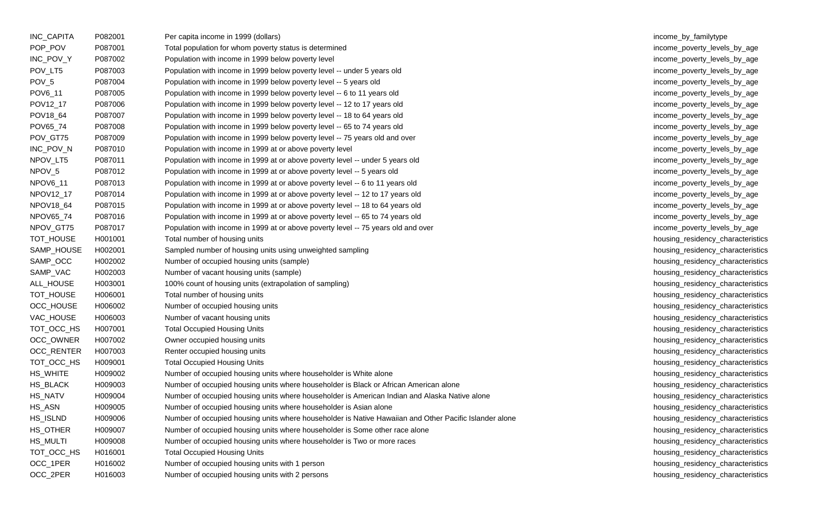| INC_CAPITA | P082001 | Per capita income in 1999 (dollars)                                                                    | income_by_familytype              |
|------------|---------|--------------------------------------------------------------------------------------------------------|-----------------------------------|
| POP_POV    | P087001 | Total population for whom poverty status is determined                                                 | income_poverty_levels_by_age      |
| INC_POV_Y  | P087002 | Population with income in 1999 below poverty level                                                     | income_poverty_levels_by_age      |
| POV_LT5    | P087003 | Population with income in 1999 below poverty level -- under 5 years old                                | income_poverty_levels_by_age      |
| POV_5      | P087004 | Population with income in 1999 below poverty level -- 5 years old                                      | income_poverty_levels_by_age      |
| POV6_11    | P087005 | Population with income in 1999 below poverty level -- 6 to 11 years old                                | income_poverty_levels_by_age      |
| POV12_17   | P087006 | Population with income in 1999 below poverty level -- 12 to 17 years old                               | income_poverty_levels_by_age      |
| POV18_64   | P087007 | Population with income in 1999 below poverty level -- 18 to 64 years old                               | income_poverty_levels_by_age      |
| POV65_74   | P087008 | Population with income in 1999 below poverty level -- 65 to 74 years old                               | income_poverty_levels_by_age      |
| POV_GT75   | P087009 | Population with income in 1999 below poverty level -- 75 years old and over                            | income_poverty_levels_by_age      |
| INC_POV_N  | P087010 | Population with income in 1999 at or above poverty level                                               | income_poverty_levels_by_age      |
| NPOV_LT5   | P087011 | Population with income in 1999 at or above poverty level -- under 5 years old                          | income_poverty_levels_by_age      |
| NPOV_5     | P087012 | Population with income in 1999 at or above poverty level -- 5 years old                                | income_poverty_levels_by_age      |
| NPOV6_11   | P087013 | Population with income in 1999 at or above poverty level -- 6 to 11 years old                          | income_poverty_levels_by_age      |
| NPOV12_17  | P087014 | Population with income in 1999 at or above poverty level -- 12 to 17 years old                         | income_poverty_levels_by_age      |
| NPOV18_64  | P087015 | Population with income in 1999 at or above poverty level -- 18 to 64 years old                         | income_poverty_levels_by_age      |
| NPOV65_74  | P087016 | Population with income in 1999 at or above poverty level -- 65 to 74 years old                         | income_poverty_levels_by_age      |
| NPOV_GT75  | P087017 | Population with income in 1999 at or above poverty level -- 75 years old and over                      | income_poverty_levels_by_age      |
| TOT_HOUSE  | H001001 | Total number of housing units                                                                          | housing_residency_characteristics |
| SAMP_HOUSE | H002001 | Sampled number of housing units using unweighted sampling                                              | housing_residency_characteristics |
| SAMP_OCC   | H002002 | Number of occupied housing units (sample)                                                              | housing_residency_characteristics |
| SAMP_VAC   | H002003 | Number of vacant housing units (sample)                                                                | housing_residency_characteristics |
| ALL_HOUSE  | H003001 | 100% count of housing units (extrapolation of sampling)                                                | housing_residency_characteristics |
| TOT_HOUSE  | H006001 | Total number of housing units                                                                          | housing_residency_characteristics |
| OCC_HOUSE  | H006002 | Number of occupied housing units                                                                       | housing_residency_characteristics |
| VAC_HOUSE  | H006003 | Number of vacant housing units                                                                         | housing_residency_characteristics |
| TOT_OCC_HS | H007001 | <b>Total Occupied Housing Units</b>                                                                    | housing_residency_characteristics |
| OCC_OWNER  | H007002 | Owner occupied housing units                                                                           | housing_residency_characteristics |
| OCC_RENTER | H007003 | Renter occupied housing units                                                                          | housing_residency_characteristics |
| TOT_OCC_HS | H009001 | <b>Total Occupied Housing Units</b>                                                                    | housing_residency_characteristics |
| HS_WHITE   | H009002 | Number of occupied housing units where householder is White alone                                      | housing_residency_characteristics |
| HS_BLACK   | H009003 | Number of occupied housing units where householder is Black or African American alone                  | housing_residency_characteristics |
| HS_NATV    | H009004 | Number of occupied housing units where householder is American Indian and Alaska Native alone          | housing_residency_characteristics |
| HS_ASN     | H009005 | Number of occupied housing units where householder is Asian alone                                      | housing_residency_characteristics |
| HS_ISLND   | H009006 | Number of occupied housing units where householder is Native Hawaiian and Other Pacific Islander alone | housing_residency_characteristics |
| HS_OTHER   | H009007 | Number of occupied housing units where householder is Some other race alone                            | housing_residency_characteristics |
| HS_MULTI   | H009008 | Number of occupied housing units where householder is Two or more races                                | housing_residency_characteristics |
| TOT_OCC_HS | H016001 | <b>Total Occupied Housing Units</b>                                                                    | housing_residency_characteristics |
| OCC_1PER   | H016002 | Number of occupied housing units with 1 person                                                         | housing_residency_characteristics |
| OCC_2PER   | H016003 | Number of occupied housing units with 2 persons                                                        | housing_residency_characteristics |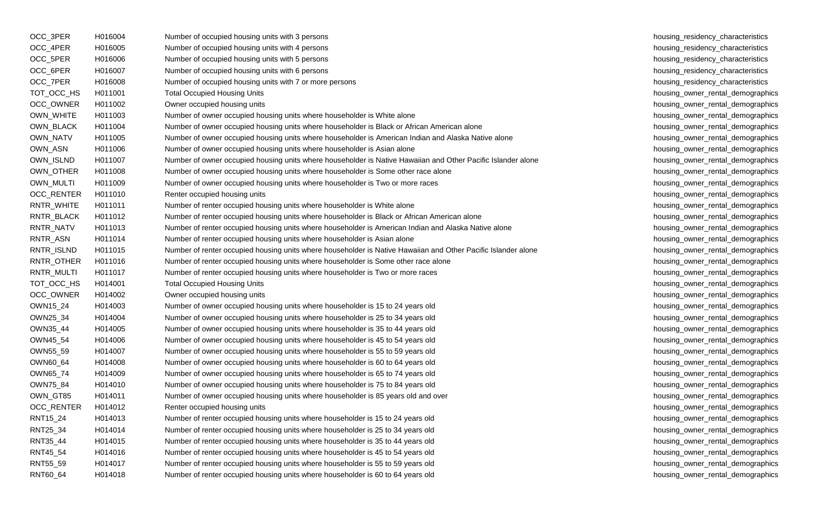| OCC_3PER   | H016004 | Number of occupied housing units with 3 persons                                                               |
|------------|---------|---------------------------------------------------------------------------------------------------------------|
| OCC_4PER   | H016005 | Number of occupied housing units with 4 persons                                                               |
| OCC_5PER   | H016006 | Number of occupied housing units with 5 persons                                                               |
| OCC_6PER   | H016007 | Number of occupied housing units with 6 persons                                                               |
| OCC_7PER   | H016008 | Number of occupied housing units with 7 or more persons                                                       |
| TOT_OCC_HS | H011001 | <b>Total Occupied Housing Units</b>                                                                           |
| OCC_OWNER  | H011002 | Owner occupied housing units                                                                                  |
| OWN_WHITE  | H011003 | Number of owner occupied housing units where householder is White alone                                       |
| OWN_BLACK  | H011004 | Number of owner occupied housing units where householder is Black or African American alone                   |
| OWN_NATV   | H011005 | Number of owner occupied housing units where householder is American Indian and Alaska Native alone           |
| OWN_ASN    | H011006 | Number of owner occupied housing units where householder is Asian alone                                       |
| OWN_ISLND  | H011007 | Number of owner occupied housing units where householder is Native Hawaiian and Other Pacific Islander alone  |
| OWN_OTHER  | H011008 | Number of owner occupied housing units where householder is Some other race alone                             |
| OWN_MULTI  | H011009 | Number of owner occupied housing units where householder is Two or more races                                 |
| OCC_RENTER | H011010 | Renter occupied housing units                                                                                 |
| RNTR_WHITE | H011011 | Number of renter occupied housing units where householder is White alone                                      |
| RNTR_BLACK | H011012 | Number of renter occupied housing units where householder is Black or African American alone                  |
| RNTR_NATV  | H011013 | Number of renter occupied housing units where householder is American Indian and Alaska Native alone          |
| RNTR_ASN   | H011014 | Number of renter occupied housing units where householder is Asian alone                                      |
| RNTR_ISLND | H011015 | Number of renter occupied housing units where householder is Native Hawaiian and Other Pacific Islander alone |
| RNTR_OTHER | H011016 | Number of renter occupied housing units where householder is Some other race alone                            |
| RNTR_MULTI | H011017 | Number of renter occupied housing units where householder is Two or more races                                |
| TOT_OCC_HS | H014001 | <b>Total Occupied Housing Units</b>                                                                           |
| OCC_OWNER  | H014002 | Owner occupied housing units                                                                                  |
| OWN15_24   | H014003 | Number of owner occupied housing units where householder is 15 to 24 years old                                |
| OWN25_34   | H014004 | Number of owner occupied housing units where householder is 25 to 34 years old                                |
| OWN35_44   | H014005 | Number of owner occupied housing units where householder is 35 to 44 years old                                |
| OWN45_54   | H014006 | Number of owner occupied housing units where householder is 45 to 54 years old                                |
| OWN55_59   | H014007 | Number of owner occupied housing units where householder is 55 to 59 years old                                |
| OWN60_64   | H014008 | Number of owner occupied housing units where householder is 60 to 64 years old                                |
| OWN65_74   | H014009 | Number of owner occupied housing units where householder is 65 to 74 years old                                |
| OWN75_84   | H014010 | Number of owner occupied housing units where householder is 75 to 84 years old                                |
| OWN_GT85   | H014011 | Number of owner occupied housing units where householder is 85 years old and over                             |
| OCC_RENTER | H014012 | Renter occupied housing units                                                                                 |
| RNT15_24   | H014013 | Number of renter occupied housing units where householder is 15 to 24 years old                               |
| RNT25_34   | H014014 | Number of renter occupied housing units where householder is 25 to 34 years old                               |
| RNT35_44   | H014015 | Number of renter occupied housing units where householder is 35 to 44 years old                               |
| RNT45_54   | H014016 | Number of renter occupied housing units where householder is 45 to 54 years old                               |
| RNT55_59   | H014017 | Number of renter occupied housing units where householder is 55 to 59 years old                               |
| RNT60_64   | H014018 | Number of renter occupied housing units where householder is 60 to 64 years old                               |

housing\_residency\_characteristics housing\_residency\_characteristics housing\_residency\_characteristics housing\_residency\_characteristics housing residency characteristics housing\_owner\_rental\_demographics housing\_owner\_rental\_demographics housing \_owner\_rental\_demographics housing owner rental demographics housing \_owner \_rental \_demographics housing \_owner \_rental \_demographics housing owner rental demographics housing \_owner \_rental \_demographics housing owner rental demographics housing\_owner\_rental\_demographics housing owner rental demographics housing owner rental demographics housing owner rental demographics housing owner rental demographics housing owner rental demographics housing \_owner\_rental\_demographics housing\_owner\_rental\_demographics housing\_owner\_rental\_demographics housing\_owner\_rental\_demographics housing owner rental demographics housing\_owner\_rental\_demographics housing \_owner\_rental\_demographics housing\_owner\_rental\_demographics housing owner rental demographics housing\_owner\_rental\_demographics housing \_owner\_rental\_demographics housing\_owner\_rental\_demographics housing owner rental demographics housing\_owner\_rental\_demographics housing \_owner\_rental\_demographics housing\_owner\_rental\_demographics housing owner rental demographics housing\_owner\_rental\_demographics housing owner rental demographics housing owner rental demographics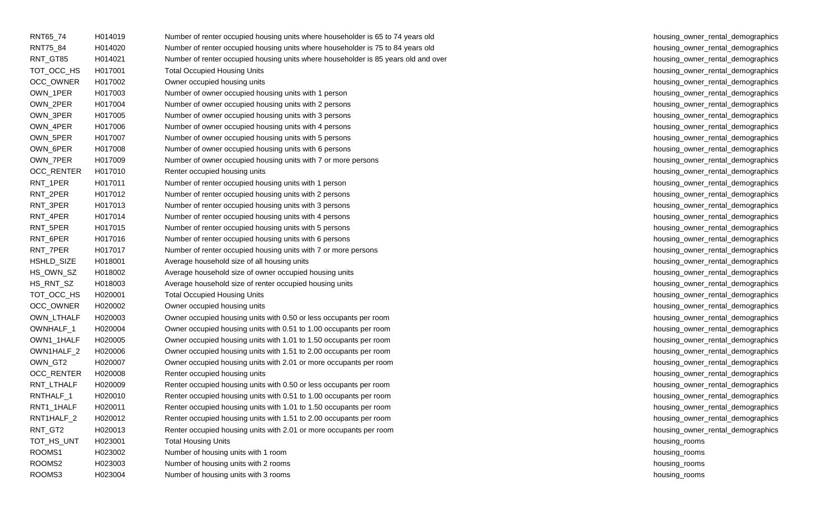| RNT65_74   | H014019 | Number of renter occupied housing units where householder is 65 to 74 years old    | housing_owner |
|------------|---------|------------------------------------------------------------------------------------|---------------|
| RNT75_84   | H014020 | Number of renter occupied housing units where householder is 75 to 84 years old    | housing_owner |
| RNT_GT85   | H014021 | Number of renter occupied housing units where householder is 85 years old and over | housing_owner |
| TOT_OCC_HS | H017001 | <b>Total Occupied Housing Units</b>                                                | housing_owner |
| OCC_OWNER  | H017002 | Owner occupied housing units                                                       | housing_owner |
| OWN_1PER   | H017003 | Number of owner occupied housing units with 1 person                               | housing_owner |
| OWN_2PER   | H017004 | Number of owner occupied housing units with 2 persons                              | housing_owner |
| OWN_3PER   | H017005 | Number of owner occupied housing units with 3 persons                              | housing_owner |
| OWN_4PER   | H017006 | Number of owner occupied housing units with 4 persons                              | housing_owner |
| OWN_5PER   | H017007 | Number of owner occupied housing units with 5 persons                              | housing_owner |
| OWN_6PER   | H017008 | Number of owner occupied housing units with 6 persons                              | housing_owner |
| OWN_7PER   | H017009 | Number of owner occupied housing units with 7 or more persons                      | housing_owner |
| OCC_RENTER | H017010 | Renter occupied housing units                                                      | housing_owner |
| RNT_1PER   | H017011 | Number of renter occupied housing units with 1 person                              | housing_owner |
| RNT_2PER   | H017012 | Number of renter occupied housing units with 2 persons                             | housing_owner |
| RNT_3PER   | H017013 | Number of renter occupied housing units with 3 persons                             | housing_owner |
| RNT_4PER   | H017014 | Number of renter occupied housing units with 4 persons                             | housing_owner |
| RNT_5PER   | H017015 | Number of renter occupied housing units with 5 persons                             | housing_owner |
| RNT_6PER   | H017016 | Number of renter occupied housing units with 6 persons                             | housing_owner |
| RNT_7PER   | H017017 | Number of renter occupied housing units with 7 or more persons                     | housing_owner |
| HSHLD_SIZE | H018001 | Average household size of all housing units                                        | housing_owner |
| HS_OWN_SZ  | H018002 | Average household size of owner occupied housing units                             | housing_owner |
| HS_RNT_SZ  | H018003 | Average household size of renter occupied housing units                            | housing_owner |
| TOT_OCC_HS | H020001 | <b>Total Occupied Housing Units</b>                                                | housing_owner |
| OCC_OWNER  | H020002 | Owner occupied housing units                                                       | housing_owner |
| OWN_LTHALF | H020003 | Owner occupied housing units with 0.50 or less occupants per room                  | housing_owner |
| OWNHALF_1  | H020004 | Owner occupied housing units with 0.51 to 1.00 occupants per room                  | housing_owner |
| OWN1_1HALF | H020005 | Owner occupied housing units with 1.01 to 1.50 occupants per room                  | housing_owner |
| OWN1HALF_2 | H020006 | Owner occupied housing units with 1.51 to 2.00 occupants per room                  | housing_owner |
| OWN_GT2    | H020007 | Owner occupied housing units with 2.01 or more occupants per room                  | housing_owner |
| OCC_RENTER | H020008 | Renter occupied housing units                                                      | housing_owner |
| RNT_LTHALF | H020009 | Renter occupied housing units with 0.50 or less occupants per room                 | housing_owner |
| RNTHALF_1  | H020010 | Renter occupied housing units with 0.51 to 1.00 occupants per room                 | housing_owner |
| RNT1_1HALF | H020011 | Renter occupied housing units with 1.01 to 1.50 occupants per room                 | housing_owner |
| RNT1HALF_2 | H020012 | Renter occupied housing units with 1.51 to 2.00 occupants per room                 | housing_owner |
| RNT_GT2    | H020013 | Renter occupied housing units with 2.01 or more occupants per room                 | housing_owner |
| TOT_HS_UNT | H023001 | <b>Total Housing Units</b>                                                         | housing_rooms |
| ROOMS1     | H023002 | Number of housing units with 1 room                                                | housing_rooms |
| ROOMS2     | H023003 | Number of housing units with 2 rooms                                               | housing_rooms |
| ROOMS3     | H023004 | Number of housing units with 3 rooms                                               | housing_rooms |
|            |         |                                                                                    |               |

housing owner rental demographics housing owner rental demographics PNT\_GT85 HOUSING\_CONNECTED housing\_owner\_rental\_demographics housing\_owner\_rental\_demographics housing\_owner\_rental\_demographics housing \_owner \_rental \_demographics housing \_owner\_rental\_demographics housing \_owner\_rental\_demographics housing \_owner \_rental \_demographics housing \_owner\_rental\_demographics housing \_owner \_rental \_demographics housing owner rental demographics housing\_owner\_rental\_demographics housing\_owner\_rental\_demographics housing\_owner\_rental\_demographics housing \_owner\_rental\_demographics housing\_owner\_rental\_demographics housing owner rental demographics housing\_owner\_rental\_demographics housing\_owner\_rental\_demographics housing\_owner\_rental\_demographics housing\_owner\_rental\_demographics housing\_owner\_rental\_demographics housing\_owner\_rental\_demographics housing\_owner\_rental\_demographics housing\_owner\_rental\_demographics housing\_owner\_rental\_demographics housing\_owner\_rental\_demographics housing\_owner\_rental\_demographics housing\_owner\_rental\_demographics housing\_owner\_rental\_demographics housing\_owner\_rental\_demographics housing\_owner\_rental\_demographics housing\_owner\_rental\_demographics housing\_owner\_rental\_demographics housing\_owner\_rental\_demographics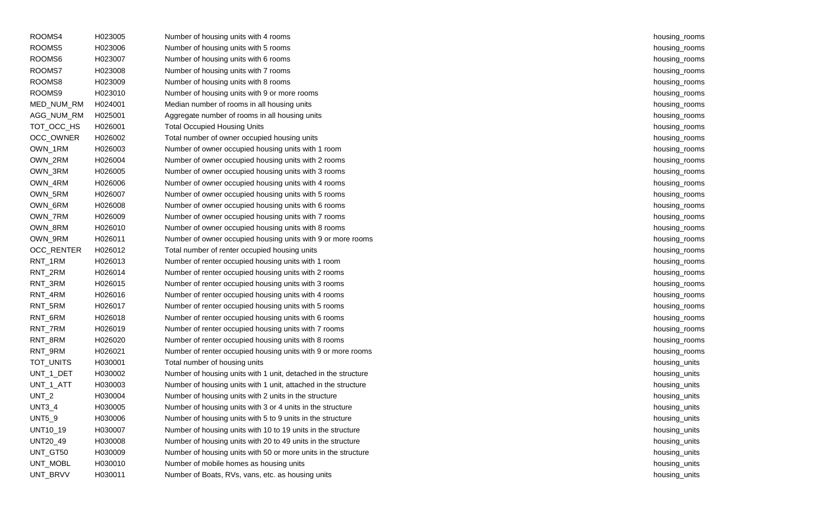| ROOMS4        | H023005 | Number of housing units with 4 rooms                           | housing_rooms |
|---------------|---------|----------------------------------------------------------------|---------------|
| ROOMS5        | H023006 | Number of housing units with 5 rooms                           | housing_rooms |
| ROOMS6        | H023007 | Number of housing units with 6 rooms                           | housing_rooms |
| ROOMS7        | H023008 | Number of housing units with 7 rooms                           | housing_rooms |
| ROOMS8        | H023009 | Number of housing units with 8 rooms                           | housing_rooms |
| ROOMS9        | H023010 | Number of housing units with 9 or more rooms                   | housing_rooms |
| MED_NUM_RM    | H024001 | Median number of rooms in all housing units                    | housing_rooms |
| AGG_NUM_RM    | H025001 | Aggregate number of rooms in all housing units                 | housing_rooms |
| TOT_OCC_HS    | H026001 | <b>Total Occupied Housing Units</b>                            | housing_rooms |
| OCC_OWNER     | H026002 | Total number of owner occupied housing units                   | housing_rooms |
| OWN_1RM       | H026003 | Number of owner occupied housing units with 1 room             | housing_rooms |
| OWN_2RM       | H026004 | Number of owner occupied housing units with 2 rooms            | housing_rooms |
| OWN_3RM       | H026005 | Number of owner occupied housing units with 3 rooms            | housing_rooms |
| OWN_4RM       | H026006 | Number of owner occupied housing units with 4 rooms            | housing_rooms |
| OWN_5RM       | H026007 | Number of owner occupied housing units with 5 rooms            | housing_rooms |
| OWN_6RM       | H026008 | Number of owner occupied housing units with 6 rooms            | housing_rooms |
| OWN_7RM       | H026009 | Number of owner occupied housing units with 7 rooms            | housing_rooms |
| OWN_8RM       | H026010 | Number of owner occupied housing units with 8 rooms            | housing_rooms |
| OWN_9RM       | H026011 | Number of owner occupied housing units with 9 or more rooms    | housing_rooms |
| OCC_RENTER    | H026012 | Total number of renter occupied housing units                  | housing_rooms |
| RNT_1RM       | H026013 | Number of renter occupied housing units with 1 room            | housing_rooms |
| RNT_2RM       | H026014 | Number of renter occupied housing units with 2 rooms           | housing_rooms |
| RNT_3RM       | H026015 | Number of renter occupied housing units with 3 rooms           | housing_rooms |
| RNT_4RM       | H026016 | Number of renter occupied housing units with 4 rooms           | housing_rooms |
| RNT_5RM       | H026017 | Number of renter occupied housing units with 5 rooms           | housing_rooms |
| RNT_6RM       | H026018 | Number of renter occupied housing units with 6 rooms           | housing_rooms |
| RNT_7RM       | H026019 | Number of renter occupied housing units with 7 rooms           | housing_rooms |
| RNT_8RM       | H026020 | Number of renter occupied housing units with 8 rooms           | housing_rooms |
| RNT_9RM       | H026021 | Number of renter occupied housing units with 9 or more rooms   | housing_rooms |
| TOT_UNITS     | H030001 | Total number of housing units                                  | housing_units |
| UNT_1_DET     | H030002 | Number of housing units with 1 unit, detached in the structure | housing_units |
| UNT_1_ATT     | H030003 | Number of housing units with 1 unit, attached in the structure | housing_units |
| $UNT_2$       | H030004 | Number of housing units with 2 units in the structure          | housing_units |
| <b>UNT3_4</b> | H030005 | Number of housing units with 3 or 4 units in the structure     | housing_units |
| <b>UNT5_9</b> | H030006 | Number of housing units with 5 to 9 units in the structure     | housing_units |
| UNT10_19      | H030007 | Number of housing units with 10 to 19 units in the structure   | housing_units |
| UNT20_49      | H030008 | Number of housing units with 20 to 49 units in the structure   | housing_units |
| UNT_GT50      | H030009 | Number of housing units with 50 or more units in the structure | housing_units |
| UNT_MOBL      | H030010 | Number of mobile homes as housing units                        | housing_units |
| UNT_BRVV      | H030011 | Number of Boats, RVs, vans, etc. as housing units              | housing_units |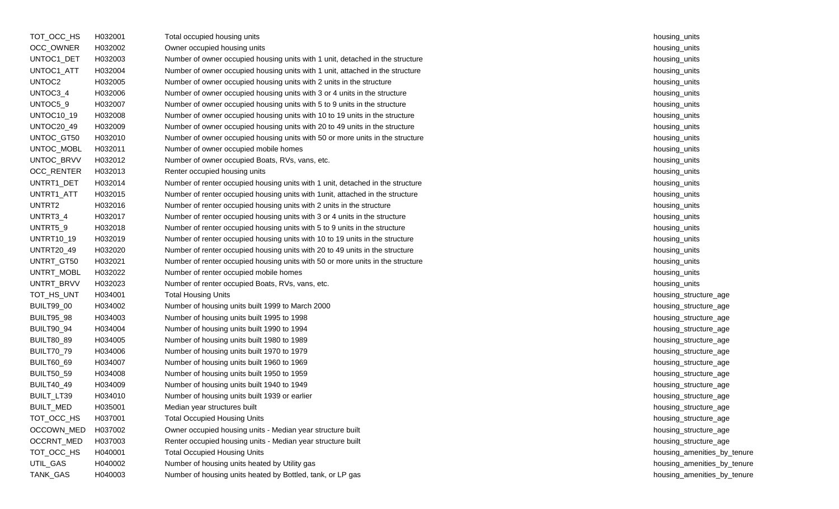| TOT_OCC_HS        | H032001 | Total occupied housing units                                                   | housing_units |
|-------------------|---------|--------------------------------------------------------------------------------|---------------|
| OCC_OWNER         | H032002 | Owner occupied housing units                                                   | housing_units |
| UNTOC1_DET        | H032003 | Number of owner occupied housing units with 1 unit, detached in the structure  | housing_units |
| UNTOC1_ATT        | H032004 | Number of owner occupied housing units with 1 unit, attached in the structure  | housing_units |
| UNTOC2            | H032005 | Number of owner occupied housing units with 2 units in the structure           | housing_units |
| UNTOC3_4          | H032006 | Number of owner occupied housing units with 3 or 4 units in the structure      | housing_units |
| UNTOC5_9          | H032007 | Number of owner occupied housing units with 5 to 9 units in the structure      | housing_units |
| <b>UNTOC10_19</b> | H032008 | Number of owner occupied housing units with 10 to 19 units in the structure    | housing_units |
| UNTOC20_49        | H032009 | Number of owner occupied housing units with 20 to 49 units in the structure    | housing_units |
| UNTOC_GT50        | H032010 | Number of owner occupied housing units with 50 or more units in the structure  | housing_units |
| UNTOC_MOBL        | H032011 | Number of owner occupied mobile homes                                          | housing_units |
| UNTOC_BRVV        | H032012 | Number of owner occupied Boats, RVs, vans, etc.                                | housing_units |
| OCC_RENTER        | H032013 | Renter occupied housing units                                                  | housing_units |
| UNTRT1_DET        | H032014 | Number of renter occupied housing units with 1 unit, detached in the structure | housing_units |
| UNTRT1_ATT        | H032015 | Number of renter occupied housing units with 1 unit, attached in the structure | housing_units |
| UNTRT2            | H032016 | Number of renter occupied housing units with 2 units in the structure          | housing_units |
| UNTRT3_4          | H032017 | Number of renter occupied housing units with 3 or 4 units in the structure     | housing_units |
| UNTRT5_9          | H032018 | Number of renter occupied housing units with 5 to 9 units in the structure     | housing_units |
| <b>UNTRT10_19</b> | H032019 | Number of renter occupied housing units with 10 to 19 units in the structure   | housing_units |
| <b>UNTRT20_49</b> | H032020 | Number of renter occupied housing units with 20 to 49 units in the structure   | housing_units |
| UNTRT_GT50        | H032021 | Number of renter occupied housing units with 50 or more units in the structure | housing_units |
| UNTRT_MOBL        | H032022 | Number of renter occupied mobile homes                                         | housing_units |
| UNTRT_BRVV        | H032023 | Number of renter occupied Boats, RVs, vans, etc.                               | housing_units |
| TOT_HS_UNT        | H034001 | <b>Total Housing Units</b>                                                     | housing_struc |
| <b>BUILT99_00</b> | H034002 | Number of housing units built 1999 to March 2000                               | housing_struc |
| <b>BUILT95_98</b> | H034003 | Number of housing units built 1995 to 1998                                     | housing_struc |
| <b>BUILT90_94</b> | H034004 | Number of housing units built 1990 to 1994                                     | housing_struc |
| <b>BUILT80_89</b> | H034005 | Number of housing units built 1980 to 1989                                     | housing_struc |
| <b>BUILT70_79</b> | H034006 | Number of housing units built 1970 to 1979                                     | housing_struc |
| <b>BUILT60_69</b> | H034007 | Number of housing units built 1960 to 1969                                     | housing_struc |
| <b>BUILT50_59</b> | H034008 | Number of housing units built 1950 to 1959                                     | housing_struc |
| <b>BUILT40_49</b> | H034009 | Number of housing units built 1940 to 1949                                     | housing_struc |
| BUILT_LT39        | H034010 | Number of housing units built 1939 or earlier                                  | housing_struc |
| <b>BUILT_MED</b>  | H035001 | Median year structures built                                                   | housing_struc |
| TOT_OCC_HS        | H037001 | <b>Total Occupied Housing Units</b>                                            | housing_struc |
| OCCOWN_MED        | H037002 | Owner occupied housing units - Median year structure built                     | housing_struc |
| OCCRNT_MED        | H037003 | Renter occupied housing units - Median year structure built                    | housing_struc |
| TOT_OCC_HS        | H040001 | <b>Total Occupied Housing Units</b>                                            | housing_ame   |
| UTIL_GAS          | H040002 | Number of housing units heated by Utility gas                                  | housing_ame   |
| TANK_GAS          | H040003 | Number of housing units heated by Bottled, tank, or LP gas                     | housing_ame   |

housing\_structure\_age housing\_structure\_age housing\_structure\_age housing\_structure\_age housing\_structure\_age housing\_structure\_age housing\_structure\_age housing\_structure\_age housing\_structure\_age housing\_structure\_age housing\_structure\_age housing\_structure\_age housing\_structure\_age housing\_structure\_age housing\_amenities\_by\_tenure housing\_amenities\_by\_tenure housing\_amenities\_by\_tenure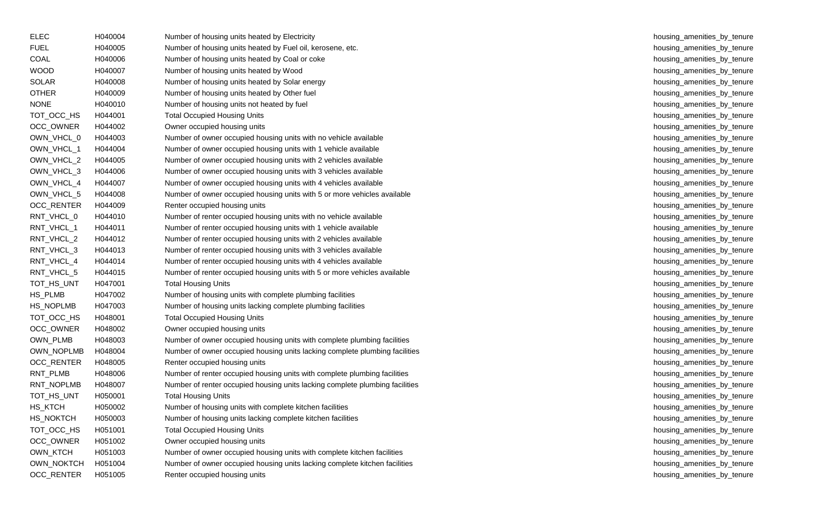| <b>ELEC</b>       | H040004 | Number of housing units heated by Electricity                                |
|-------------------|---------|------------------------------------------------------------------------------|
| <b>FUEL</b>       | H040005 | Number of housing units heated by Fuel oil, kerosene, etc.                   |
| COAL              | H040006 | Number of housing units heated by Coal or coke                               |
| <b>WOOD</b>       | H040007 | Number of housing units heated by Wood                                       |
| <b>SOLAR</b>      | H040008 | Number of housing units heated by Solar energy                               |
| <b>OTHER</b>      | H040009 | Number of housing units heated by Other fuel                                 |
| <b>NONE</b>       | H040010 | Number of housing units not heated by fuel                                   |
| TOT_OCC_HS        | H044001 | <b>Total Occupied Housing Units</b>                                          |
| OCC_OWNER         | H044002 | Owner occupied housing units                                                 |
| OWN_VHCL_0        | H044003 | Number of owner occupied housing units with no vehicle available             |
| OWN_VHCL_1        | H044004 | Number of owner occupied housing units with 1 vehicle available              |
| OWN_VHCL_2        | H044005 | Number of owner occupied housing units with 2 vehicles available             |
| OWN_VHCL_3        | H044006 | Number of owner occupied housing units with 3 vehicles available             |
| OWN_VHCL_4        | H044007 | Number of owner occupied housing units with 4 vehicles available             |
| OWN_VHCL_5        | H044008 | Number of owner occupied housing units with 5 or more vehicles available     |
| OCC_RENTER        | H044009 | Renter occupied housing units                                                |
| RNT_VHCL_0        | H044010 | Number of renter occupied housing units with no vehicle available            |
| RNT_VHCL_1        | H044011 | Number of renter occupied housing units with 1 vehicle available             |
| RNT_VHCL_2        | H044012 | Number of renter occupied housing units with 2 vehicles available            |
| RNT_VHCL_3        | H044013 | Number of renter occupied housing units with 3 vehicles available            |
| RNT_VHCL_4        | H044014 | Number of renter occupied housing units with 4 vehicles available            |
| RNT_VHCL_5        | H044015 | Number of renter occupied housing units with 5 or more vehicles available    |
| TOT_HS_UNT        | H047001 | <b>Total Housing Units</b>                                                   |
| HS_PLMB           | H047002 | Number of housing units with complete plumbing facilities                    |
| HS_NOPLMB         | H047003 | Number of housing units lacking complete plumbing facilities                 |
| TOT_OCC_HS        | H048001 | <b>Total Occupied Housing Units</b>                                          |
| OCC_OWNER         | H048002 | Owner occupied housing units                                                 |
| OWN_PLMB          | H048003 | Number of owner occupied housing units with complete plumbing facilities     |
| OWN_NOPLMB        | H048004 | Number of owner occupied housing units lacking complete plumbing facilities  |
| OCC_RENTER        | H048005 | Renter occupied housing units                                                |
| RNT_PLMB          | H048006 | Number of renter occupied housing units with complete plumbing facilities    |
| RNT_NOPLMB        | H048007 | Number of renter occupied housing units lacking complete plumbing facilities |
| TOT_HS_UNT        | H050001 | <b>Total Housing Units</b>                                                   |
| HS_KTCH           | H050002 | Number of housing units with complete kitchen facilities                     |
| <b>HS_NOKTCH</b>  | H050003 | Number of housing units lacking complete kitchen facilities                  |
| TOT_OCC_HS        | H051001 | <b>Total Occupied Housing Units</b>                                          |
| OCC_OWNER         | H051002 | Owner occupied housing units                                                 |
| OWN_KTCH          | H051003 | Number of owner occupied housing units with complete kitchen facilities      |
| OWN_NOKTCH        | H051004 | Number of owner occupied housing units lacking complete kitchen facilities   |
| <b>OCC_RENTER</b> | H051005 | Renter occupied housing units                                                |

housing\_amenities\_by\_tenure housing\_amenities\_by\_tenure housing\_amenities\_by\_tenure housing\_amenities\_by\_tenure housing\_amenities\_by\_tenure housing\_amenities\_by\_tenure housing\_amenities\_by\_tenure housing\_amenities\_by\_tenure housing\_amenities\_by\_tenure housing\_amenities\_by\_tenure housing\_amenities\_by\_tenure housing\_amenities\_by\_tenure housing\_amenities\_by\_tenure housing\_amenities\_by\_tenure housing amenities by tenure housing\_amenities\_by\_tenure housing\_amenities\_by\_tenure housing\_amenities\_by\_tenure housing\_amenities\_by\_tenure housing\_amenities\_by\_tenure housing\_amenities\_by\_tenure housing\_amenities\_by\_tenure housing\_amenities\_by\_tenure housing amenities by tenure housing amenities by tenure housing\_amenities\_by\_tenure housing\_amenities\_by\_tenure housing amenities by tenure housing amenities by tenure housing\_amenities\_by\_tenure housing amenities by tenure housing amenities by tenure housing\_amenities\_by\_tenure housing\_amenities\_by\_tenure housing amenities by tenure housing\_amenities\_by\_tenure housing\_amenities\_by\_tenure housing\_amenities\_by\_tenure housing\_amenities\_by\_tenure housing\_amenities\_by\_tenure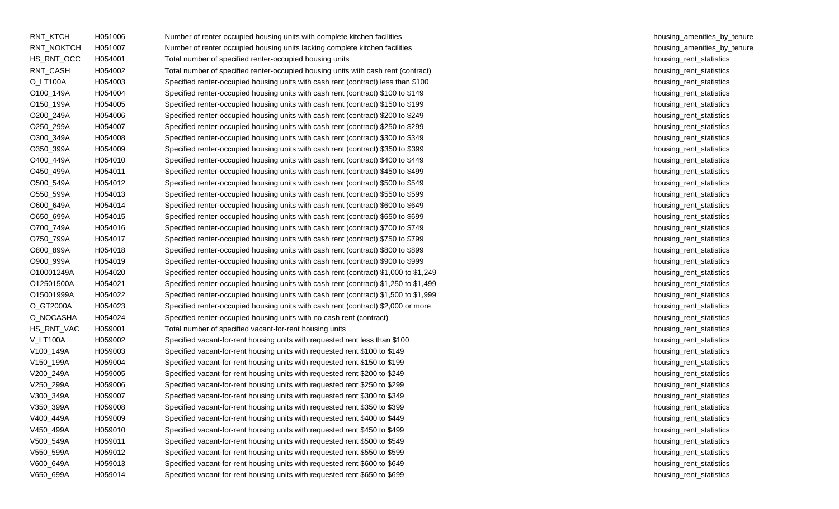| RNT_KTCH        | H051006 | Number of renter occupied housing units with complete kitchen facilities            |
|-----------------|---------|-------------------------------------------------------------------------------------|
| RNT_NOKTCH      | H051007 | Number of renter occupied housing units lacking complete kitchen facilities         |
| HS_RNT_OCC      | H054001 | Total number of specified renter-occupied housing units                             |
| RNT_CASH        | H054002 | Total number of specified renter-occupied housing units with cash rent (contract)   |
| O_LT100A        | H054003 | Specified renter-occupied housing units with cash rent (contract) less than \$100   |
| O100_149A       | H054004 | Specified renter-occupied housing units with cash rent (contract) \$100 to \$149    |
| O150_199A       | H054005 | Specified renter-occupied housing units with cash rent (contract) \$150 to \$199    |
| O200_249A       | H054006 | Specified renter-occupied housing units with cash rent (contract) \$200 to \$249    |
| O250_299A       | H054007 | Specified renter-occupied housing units with cash rent (contract) \$250 to \$299    |
| O300_349A       | H054008 | Specified renter-occupied housing units with cash rent (contract) \$300 to \$349    |
| O350_399A       | H054009 | Specified renter-occupied housing units with cash rent (contract) \$350 to \$399    |
| O400_449A       | H054010 | Specified renter-occupied housing units with cash rent (contract) \$400 to \$449    |
| O450_499A       | H054011 | Specified renter-occupied housing units with cash rent (contract) \$450 to \$499    |
| O500_549A       | H054012 | Specified renter-occupied housing units with cash rent (contract) \$500 to \$549    |
| O550_599A       | H054013 | Specified renter-occupied housing units with cash rent (contract) \$550 to \$599    |
| O600_649A       | H054014 | Specified renter-occupied housing units with cash rent (contract) \$600 to \$649    |
| O650_699A       | H054015 | Specified renter-occupied housing units with cash rent (contract) \$650 to \$699    |
| O700_749A       | H054016 | Specified renter-occupied housing units with cash rent (contract) \$700 to \$749    |
| O750_799A       | H054017 | Specified renter-occupied housing units with cash rent (contract) \$750 to \$799    |
| O800_899A       | H054018 | Specified renter-occupied housing units with cash rent (contract) \$800 to \$899    |
| O900_999A       | H054019 | Specified renter-occupied housing units with cash rent (contract) \$900 to \$999    |
| O10001249A      | H054020 | Specified renter-occupied housing units with cash rent (contract) \$1,000 to \$1,24 |
| O12501500A      | H054021 | Specified renter-occupied housing units with cash rent (contract) \$1,250 to \$1,49 |
| O15001999A      | H054022 | Specified renter-occupied housing units with cash rent (contract) \$1,500 to \$1,99 |
| O_GT2000A       | H054023 | Specified renter-occupied housing units with cash rent (contract) \$2,000 or more   |
| O_NOCASHA       | H054024 | Specified renter-occupied housing units with no cash rent (contract)                |
| HS_RNT_VAC      | H059001 | Total number of specified vacant-for-rent housing units                             |
| <b>V_LT100A</b> | H059002 | Specified vacant-for-rent housing units with requested rent less than \$100         |
| V100_149A       | H059003 | Specified vacant-for-rent housing units with requested rent \$100 to \$149          |
| V150_199A       | H059004 | Specified vacant-for-rent housing units with requested rent \$150 to \$199          |
| V200_249A       | H059005 | Specified vacant-for-rent housing units with requested rent \$200 to \$249          |
| V250_299A       | H059006 | Specified vacant-for-rent housing units with requested rent \$250 to \$299          |
| V300_349A       | H059007 | Specified vacant-for-rent housing units with requested rent \$300 to \$349          |
| V350_399A       | H059008 | Specified vacant-for-rent housing units with requested rent \$350 to \$399          |
| V400_449A       | H059009 | Specified vacant-for-rent housing units with requested rent \$400 to \$449          |
| V450_499A       | H059010 | Specified vacant-for-rent housing units with requested rent \$450 to \$499          |
| V500_549A       | H059011 | Specified vacant-for-rent housing units with requested rent \$500 to \$549          |
| V550_599A       | H059012 | Specified vacant-for-rent housing units with requested rent \$550 to \$599          |
| V600_649A       | H059013 | Specified vacant-for-rent housing units with requested rent \$600 to \$649          |
| V650_699A       | H059014 | Specified vacant-for-rent housing units with requested rent \$650 to \$699          |

housing amenities by tenure housing amenities by tenure housing\_rent\_statistics housing\_rent\_statistics housing\_rent\_statistics housing rent statistics housing\_rent\_statistics housing rent statistics housing\_rent\_statistics housing rent statistics housing\_rent\_statistics housing\_rent\_statistics housing rent statistics housing\_rent\_statistics housing\_rent\_statistics housing\_rent\_statistics housing\_rent\_statistics housing\_rent\_statistics housing\_rent\_statistics housing\_rent\_statistics housing rent statistics ed housing units with cash rent (contract)  $\sim$  1,1000 to \$1,249 housing rent (contract)  $\sim$  1,249 housing rent (contract)  $\sim$  1,249 housing rent (contract)  $\sim$  1,249 housing rent (contract)  $\sim$  1,249 housing rent (con occupied housing units with cash rent (contract)  $\sim$  1,250 housing rent (contract)  $\sim$  1,399 housing rent (contract)  $\sim$  1,499 housing rent (contract)  $\sim$  1,499 housing rent (contract)  $\sim$  1,499 housing rent (contract ed housing units with cash rent (contract)  $\sim$  1,500 to  $\sim$  1,500 to  $\sim$  1,500 to  $\sim$  1,500 to  $\sim$  1,500 to  $\sim$  1,500 to  $\sim$  1,500 to  $\sim$  1,500 to  $\sim$  1,500 to  $\sim$  1,500 to  $\sim$  1,500 to  $\sim$  1,500 to  $\sim$  1,500 housing rent statistics housing\_rent\_statistics housing\_rent\_statistics housing\_rent\_statistics housing\_rent\_statistics housing\_rent\_statistics housing\_rent\_statistics housing\_rent\_statistics housing rent statistics housing\_rent\_statistics housing\_rent\_statistics housing\_rent\_statistics housing\_rent\_statistics housing\_rent\_statistics housing\_rent\_statistics housing\_rent\_statistics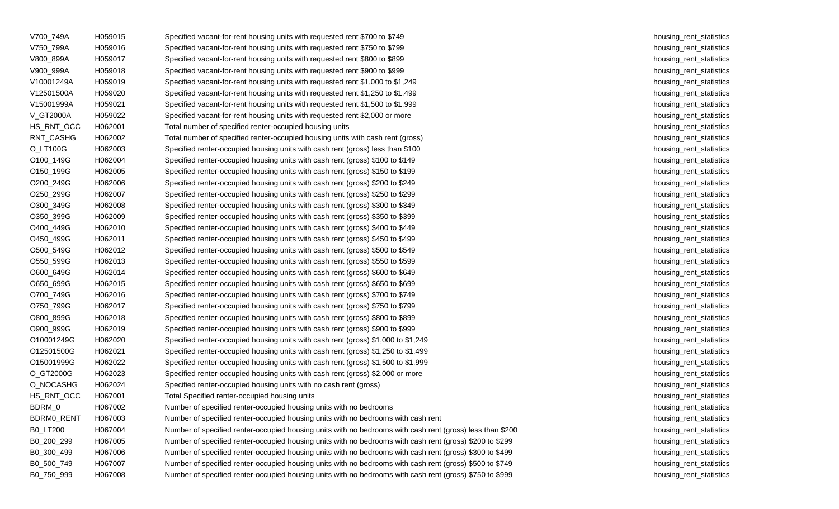| V700_749A       | H059015 | Specified vacant-for-rent housing units with requested rent \$700 to \$749                                | housing_rent_statistics |
|-----------------|---------|-----------------------------------------------------------------------------------------------------------|-------------------------|
| V750_799A       | H059016 | Specified vacant-for-rent housing units with requested rent \$750 to \$799                                | housing_rent_statistics |
| V800_899A       | H059017 | Specified vacant-for-rent housing units with requested rent \$800 to \$899                                | housing_rent_statistics |
| V900_999A       | H059018 | Specified vacant-for-rent housing units with requested rent \$900 to \$999                                | housing_rent_statistics |
| V10001249A      | H059019 | Specified vacant-for-rent housing units with requested rent \$1,000 to \$1,249                            | housing_rent_statistics |
| V12501500A      | H059020 | Specified vacant-for-rent housing units with requested rent \$1,250 to \$1,499                            | housing_rent_statistics |
| V15001999A      | H059021 | Specified vacant-for-rent housing units with requested rent \$1,500 to \$1,999                            | housing_rent_statistics |
| V_GT2000A       | H059022 | Specified vacant-for-rent housing units with requested rent \$2,000 or more                               | housing_rent_statistics |
| HS_RNT_OCC      | H062001 | Total number of specified renter-occupied housing units                                                   | housing_rent_statistics |
| RNT_CASHG       | H062002 | Total number of specified renter-occupied housing units with cash rent (gross)                            | housing_rent_statistics |
| <b>O_LT100G</b> | H062003 | Specified renter-occupied housing units with cash rent (gross) less than \$100                            | housing_rent_statistics |
| O100_149G       | H062004 | Specified renter-occupied housing units with cash rent (gross) \$100 to \$149                             | housing_rent_statistics |
| O150_199G       | H062005 | Specified renter-occupied housing units with cash rent (gross) \$150 to \$199                             | housing_rent_statistics |
| O200_249G       | H062006 | Specified renter-occupied housing units with cash rent (gross) \$200 to \$249                             | housing_rent_statistics |
| O250_299G       | H062007 | Specified renter-occupied housing units with cash rent (gross) \$250 to \$299                             | housing_rent_statistics |
| O300_349G       | H062008 | Specified renter-occupied housing units with cash rent (gross) \$300 to \$349                             | housing_rent_statistics |
| O350_399G       | H062009 | Specified renter-occupied housing units with cash rent (gross) \$350 to \$399                             | housing_rent_statistics |
| O400_449G       | H062010 | Specified renter-occupied housing units with cash rent (gross) \$400 to \$449                             | housing_rent_statistics |
| O450_499G       | H062011 | Specified renter-occupied housing units with cash rent (gross) \$450 to \$499                             | housing_rent_statistics |
| O500_549G       | H062012 | Specified renter-occupied housing units with cash rent (gross) \$500 to \$549                             | housing_rent_statistics |
| O550_599G       | H062013 | Specified renter-occupied housing units with cash rent (gross) \$550 to \$599                             | housing_rent_statistics |
| O600_649G       | H062014 | Specified renter-occupied housing units with cash rent (gross) \$600 to \$649                             | housing_rent_statistics |
| O650_699G       | H062015 | Specified renter-occupied housing units with cash rent (gross) \$650 to \$699                             | housing_rent_statistics |
| O700_749G       | H062016 | Specified renter-occupied housing units with cash rent (gross) \$700 to \$749                             | housing_rent_statistics |
| O750_799G       | H062017 | Specified renter-occupied housing units with cash rent (gross) \$750 to \$799                             | housing_rent_statistics |
| O800_899G       | H062018 | Specified renter-occupied housing units with cash rent (gross) \$800 to \$899                             | housing_rent_statistics |
| O900_999G       | H062019 | Specified renter-occupied housing units with cash rent (gross) \$900 to \$999                             | housing_rent_statistics |
| O10001249G      | H062020 | Specified renter-occupied housing units with cash rent (gross) \$1,000 to \$1,249                         | housing_rent_statistics |
| O12501500G      | H062021 | Specified renter-occupied housing units with cash rent (gross) \$1,250 to \$1,499                         | housing_rent_statistics |
| O15001999G      | H062022 | Specified renter-occupied housing units with cash rent (gross) \$1,500 to \$1,999                         | housing_rent_statistics |
| O_GT2000G       | H062023 | Specified renter-occupied housing units with cash rent (gross) \$2,000 or more                            | housing_rent_statistics |
| O_NOCASHG       | H062024 | Specified renter-occupied housing units with no cash rent (gross)                                         | housing_rent_statistics |
| HS_RNT_OCC      | H067001 | Total Specified renter-occupied housing units                                                             | housing_rent_statistics |
| BDRM_0          | H067002 | Number of specified renter-occupied housing units with no bedrooms                                        | housing_rent_statistics |
| BDRM0_RENT      | H067003 | Number of specified renter-occupied housing units with no bedrooms with cash rent                         | housing_rent_statistics |
| <b>B0_LT200</b> | H067004 | Number of specified renter-occupied housing units with no bedrooms with cash rent (gross) less than \$200 | housing_rent_statistics |
| B0_200_299      | H067005 | Number of specified renter-occupied housing units with no bedrooms with cash rent (gross) \$200 to \$299  | housing_rent_statistics |
| B0_300_499      | H067006 | Number of specified renter-occupied housing units with no bedrooms with cash rent (gross) \$300 to \$499  | housing_rent_statistics |
| B0_500_749      | H067007 | Number of specified renter-occupied housing units with no bedrooms with cash rent (gross) \$500 to \$749  | housing_rent_statistics |
| B0_750_999      | H067008 | Number of specified renter-occupied housing units with no bedrooms with cash rent (gross) \$750 to \$999  | housing_rent_statistics |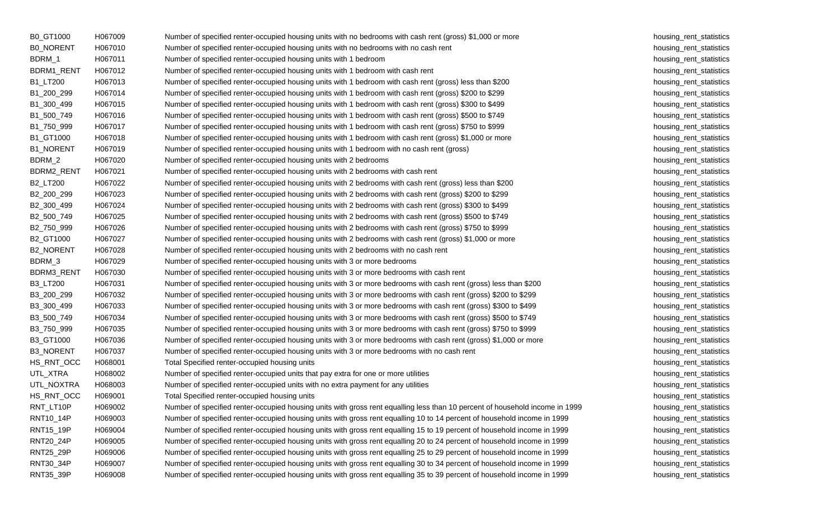| B0_GT1000        | H067009 | Number of specified renter-occupied housing units with no bedrooms with cash rent (gross) \$1,000 or more                  |
|------------------|---------|----------------------------------------------------------------------------------------------------------------------------|
| <b>BO_NORENT</b> | H067010 | Number of specified renter-occupied housing units with no bedrooms with no cash rent                                       |
| BDRM_1           | H067011 | Number of specified renter-occupied housing units with 1 bedroom                                                           |
| BDRM1_RENT       | H067012 | Number of specified renter-occupied housing units with 1 bedroom with cash rent                                            |
| B1_LT200         | H067013 | Number of specified renter-occupied housing units with 1 bedroom with cash rent (gross) less than \$200                    |
| B1_200_299       | H067014 | Number of specified renter-occupied housing units with 1 bedroom with cash rent (gross) \$200 to \$299                     |
| B1_300_499       | H067015 | Number of specified renter-occupied housing units with 1 bedroom with cash rent (gross) \$300 to \$499                     |
| B1_500_749       | H067016 | Number of specified renter-occupied housing units with 1 bedroom with cash rent (gross) \$500 to \$749                     |
| B1_750_999       | H067017 | Number of specified renter-occupied housing units with 1 bedroom with cash rent (gross) \$750 to \$999                     |
| B1_GT1000        | H067018 | Number of specified renter-occupied housing units with 1 bedroom with cash rent (gross) \$1,000 or more                    |
| <b>B1_NORENT</b> | H067019 | Number of specified renter-occupied housing units with 1 bedroom with no cash rent (gross)                                 |
| BDRM_2           | H067020 | Number of specified renter-occupied housing units with 2 bedrooms                                                          |
| BDRM2_RENT       | H067021 | Number of specified renter-occupied housing units with 2 bedrooms with cash rent                                           |
| B2_LT200         | H067022 | Number of specified renter-occupied housing units with 2 bedrooms with cash rent (gross) less than \$200                   |
| B2_200_299       | H067023 | Number of specified renter-occupied housing units with 2 bedrooms with cash rent (gross) \$200 to \$299                    |
| B2_300_499       | H067024 | Number of specified renter-occupied housing units with 2 bedrooms with cash rent (gross) \$300 to \$499                    |
| B2_500_749       | H067025 | Number of specified renter-occupied housing units with 2 bedrooms with cash rent (gross) \$500 to \$749                    |
| B2_750_999       | H067026 | Number of specified renter-occupied housing units with 2 bedrooms with cash rent (gross) \$750 to \$999                    |
| B2_GT1000        | H067027 | Number of specified renter-occupied housing units with 2 bedrooms with cash rent (gross) \$1,000 or more                   |
| <b>B2_NORENT</b> | H067028 | Number of specified renter-occupied housing units with 2 bedrooms with no cash rent                                        |
| BDRM_3           | H067029 | Number of specified renter-occupied housing units with 3 or more bedrooms                                                  |
| BDRM3_RENT       | H067030 | Number of specified renter-occupied housing units with 3 or more bedrooms with cash rent                                   |
| <b>B3_LT200</b>  | H067031 | Number of specified renter-occupied housing units with 3 or more bedrooms with cash rent (gross) less than \$200           |
| B3_200_299       | H067032 | Number of specified renter-occupied housing units with 3 or more bedrooms with cash rent (gross) \$200 to \$299            |
| B3_300_499       | H067033 | Number of specified renter-occupied housing units with 3 or more bedrooms with cash rent (gross) \$300 to \$499            |
| B3_500_749       | H067034 | Number of specified renter-occupied housing units with 3 or more bedrooms with cash rent (gross) \$500 to \$749            |
| B3_750_999       | H067035 | Number of specified renter-occupied housing units with 3 or more bedrooms with cash rent (gross) \$750 to \$999            |
| B3_GT1000        | H067036 | Number of specified renter-occupied housing units with 3 or more bedrooms with cash rent (gross) \$1,000 or more           |
| <b>B3_NORENT</b> | H067037 | Number of specified renter-occupied housing units with 3 or more bedrooms with no cash rent                                |
| HS_RNT_OCC       | H068001 | Total Specified renter-occupied housing units                                                                              |
| UTL_XTRA         | H068002 | Number of specified renter-occupied units that pay extra for one or more utilities                                         |
| UTL_NOXTRA       | H068003 | Number of specified renter-occupied units with no extra payment for any utilities                                          |
| HS_RNT_OCC       | H069001 | Total Specified renter-occupied housing units                                                                              |
| RNT_LT10P        | H069002 | Number of specified renter-occupied housing units with gross rent equalling less than 10 percent of household income in 19 |
| RNT10_14P        | H069003 | Number of specified renter-occupied housing units with gross rent equalling 10 to 14 percent of household income in 1999   |
| RNT15_19P        | H069004 | Number of specified renter-occupied housing units with gross rent equalling 15 to 19 percent of household income in 1999   |
| RNT20_24P        | H069005 | Number of specified renter-occupied housing units with gross rent equalling 20 to 24 percent of household income in 1999   |
| RNT25_29P        | H069006 | Number of specified renter-occupied housing units with gross rent equalling 25 to 29 percent of household income in 1999   |
| RNT30_34P        | H069007 | Number of specified renter-occupied housing units with gross rent equalling 30 to 34 percent of household income in 1999   |
| RNT35_39P        | H069008 | Number of specified renter-occupied housing units with gross rent equalling 35 to 39 percent of household income in 1999   |

housing\_rent\_statistics housing\_rent\_statistics housing\_rent\_statistics housing\_rent\_statistics housing\_rent\_statistics housing\_rent\_statistics housing\_rent\_statistics housing\_rent\_statistics housing\_rent\_statistics housing\_rent\_statistics housing\_rent\_statistics housing\_rent\_statistics housing\_rent\_statistics housing\_rent\_statistics housing\_rent\_statistics housing\_rent\_statistics housing\_rent\_statistics housing\_rent\_statistics housing\_rent\_statistics housing\_rent\_statistics housing\_rent\_statistics housing\_rent\_statistics housing\_rent\_statistics housing\_rent\_statistics housing\_rent\_statistics housing\_rent\_statistics housing\_rent\_statistics housing\_rent\_statistics housing\_rent\_statistics housing\_rent\_statistics housing\_rent\_statistics housing\_rent\_statistics housing\_rent\_statistics RNT10P Housing units with gross rent equality rent equality with gross rent equality rent equality rent equalling rent equality rent equality rent equality rent equality rent of  $\sim$ housing\_rent\_statistics housing\_rent\_statistics housing\_rent\_statistics housing\_rent\_statistics housing\_rent\_statistics housing\_rent\_statistics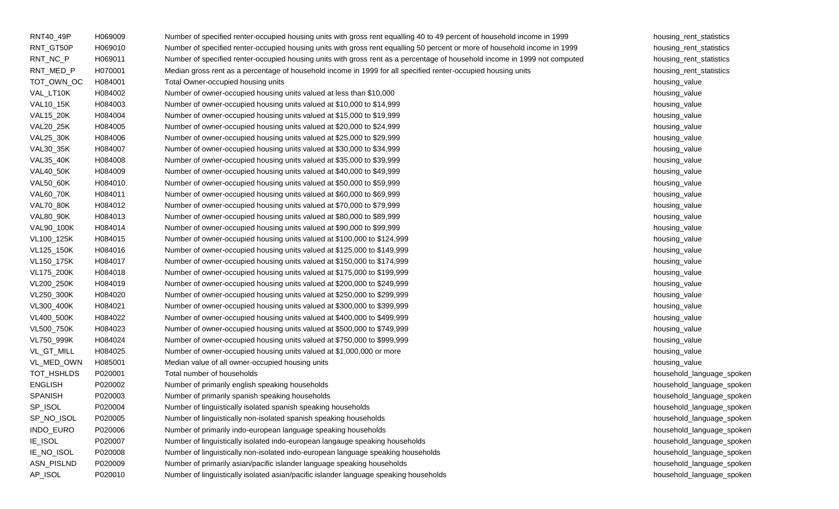| RNT40_49P        | H069009 | Number of specified renter-occupied housing units with gross rent equalling 40 to 49 percent of household income in 1999   | housing_rent_statistics   |
|------------------|---------|----------------------------------------------------------------------------------------------------------------------------|---------------------------|
| RNT_GT50P        | H069010 | Number of specified renter-occupied housing units with gross rent equalling 50 percent or more of household income in 1999 | housing_rent_statistics   |
| RNT_NC_P         | H069011 | Number of specified renter-occupied housing units with gross rent as a percentage of household income in 1999 not computed | housing_rent_statistics   |
| RNT_MED_P        | H070001 | Median gross rent as a percentage of household income in 1999 for all specified renter-occupied housing units              | housing_rent_statistics   |
| TOT_OWN_OC       | H084001 | Total Owner-occupied housing units                                                                                         | housing_value             |
| VAL_LT10K        | H084002 | Number of owner-occupied housing units valued at less than \$10,000                                                        | housing_value             |
| VAL10_15K        | H084003 | Number of owner-occupied housing units valued at \$10,000 to \$14,999                                                      | housing_value             |
| VAL15_20K        | H084004 | Number of owner-occupied housing units valued at \$15,000 to \$19,999                                                      | housing_value             |
| VAL20_25K        | H084005 | Number of owner-occupied housing units valued at \$20,000 to \$24,999                                                      | housing_value             |
| VAL25_30K        | H084006 | Number of owner-occupied housing units valued at \$25,000 to \$29,999                                                      | housing_value             |
| VAL30_35K        | H084007 | Number of owner-occupied housing units valued at \$30,000 to \$34,999                                                      | housing_value             |
| VAL35_40K        | H084008 | Number of owner-occupied housing units valued at \$35,000 to \$39,999                                                      | housing_value             |
| <b>VAL40_50K</b> | H084009 | Number of owner-occupied housing units valued at \$40,000 to \$49,999                                                      | housing_value             |
| VAL50_60K        | H084010 | Number of owner-occupied housing units valued at \$50,000 to \$59,999                                                      | housing_value             |
| VAL60_70K        | H084011 | Number of owner-occupied housing units valued at \$60,000 to \$69,999                                                      | housing_value             |
| <b>VAL70_80K</b> | H084012 | Number of owner-occupied housing units valued at \$70,000 to \$79,999                                                      | housing_value             |
| VAL80_90K        | H084013 | Number of owner-occupied housing units valued at \$80,000 to \$89,999                                                      | housing_value             |
| VAL90_100K       | H084014 | Number of owner-occupied housing units valued at \$90,000 to \$99,999                                                      | housing_value             |
| VL100_125K       | H084015 | Number of owner-occupied housing units valued at \$100,000 to \$124,999                                                    | housing_value             |
| VL125_150K       | H084016 | Number of owner-occupied housing units valued at \$125,000 to \$149,999                                                    | housing_value             |
| VL150_175K       | H084017 | Number of owner-occupied housing units valued at \$150,000 to \$174,999                                                    | housing_value             |
| VL175_200K       | H084018 | Number of owner-occupied housing units valued at \$175,000 to \$199,999                                                    | housing_value             |
| VL200_250K       | H084019 | Number of owner-occupied housing units valued at \$200,000 to \$249,999                                                    | housing_value             |
| VL250_300K       | H084020 | Number of owner-occupied housing units valued at \$250,000 to \$299,999                                                    | housing_value             |
| VL300_400K       | H084021 | Number of owner-occupied housing units valued at \$300,000 to \$399,999                                                    | housing_value             |
| VL400_500K       | H084022 | Number of owner-occupied housing units valued at \$400,000 to \$499,999                                                    | housing_value             |
| VL500_750K       | H084023 | Number of owner-occupied housing units valued at \$500,000 to \$749,999                                                    | housing_value             |
| VL750_999K       | H084024 | Number of owner-occupied housing units valued at \$750,000 to \$999,999                                                    | housing_value             |
| VL_GT_MILL       | H084025 | Number of owner-occupied housing units valued at \$1,000,000 or more                                                       | housing_value             |
| VL_MED_OWN       | H085001 | Median value of all owner-occupied housing units                                                                           | housing_value             |
| TOT_HSHLDS       | P020001 | Total number of households                                                                                                 | household_language_spoken |
| <b>ENGLISH</b>   | P020002 | Number of primarily english speaking households                                                                            | household_language_spoken |
| <b>SPANISH</b>   | P020003 | Number of primarily spanish speaking households                                                                            | household_language_spoken |
| SP_ISOL          | P020004 | Number of linguistically isolated spanish speaking households                                                              | household_language_spoken |
| SP_NO_ISOL       | P020005 | Number of linguistically non-isolated spanish speaking households                                                          | household_language_spoken |
| INDO_EURO        | P020006 | Number of primarily indo-european language speaking households                                                             | household_language_spoken |
| IE_ISOL          | P020007 | Number of linguistically isolated indo-european langauge speaking households                                               | household_language_spoken |
| IE_NO_ISOL       | P020008 | Number of linguistically non-isolated indo-european language speaking households                                           | household_language_spoken |
| ASN_PISLND       | P020009 | Number of primarily asian/pacific islander language speaking households                                                    | household_language_spoken |
| AP_ISOL          | P020010 | Number of linguistically isolated asian/pacific islander language speaking households                                      | household_language_spoken |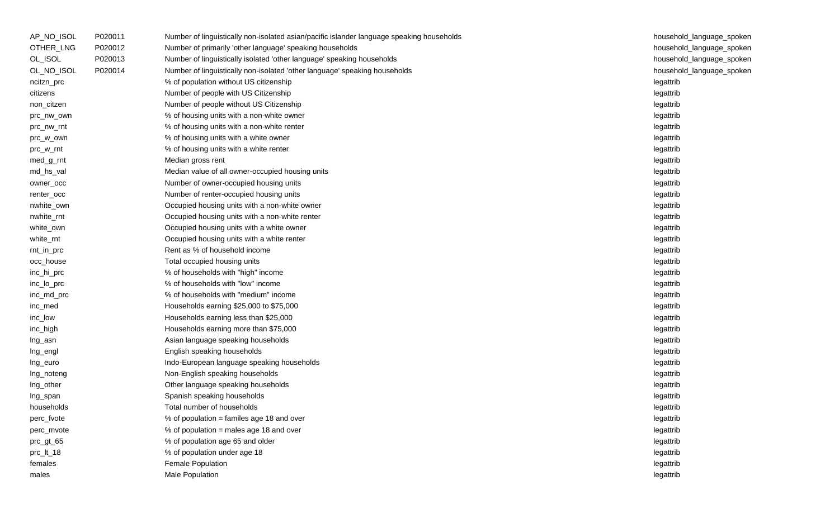| AP_NO_ISOL | P020011 | Number of linguistically non-isolated asian/pacific islander language speaking households | household_language_spoken |
|------------|---------|-------------------------------------------------------------------------------------------|---------------------------|
| OTHER_LNG  | P020012 | Number of primarily 'other language' speaking households                                  | household_language_spoken |
| OL_ISOL    | P020013 | Number of linguistically isolated 'other language' speaking households                    | household_language_spoken |
| OL_NO_ISOL | P020014 | Number of linguistically non-isolated 'other language' speaking households                | household_language_spoken |
| ncitzn_prc |         | % of population without US citizenship                                                    | legattrib                 |
| citizens   |         | Number of people with US Citizenship                                                      | legattrib                 |
| non_citzen |         | Number of people without US Citizenship                                                   | legattrib                 |
| prc_nw_own |         | % of housing units with a non-white owner                                                 | legattrib                 |
| prc_nw_rnt |         | % of housing units with a non-white renter                                                | legattrib                 |
| prc_w_own  |         | % of housing units with a white owner                                                     | legattrib                 |
| prc_w_rnt  |         | % of housing units with a white renter                                                    | legattrib                 |
| med_g_rnt  |         | Median gross rent                                                                         | legattrib                 |
| md_hs_val  |         | Median value of all owner-occupied housing units                                          | legattrib                 |
| owner_occ  |         | Number of owner-occupied housing units                                                    | legattrib                 |
| renter_occ |         | Number of renter-occupied housing units                                                   | legattrib                 |
| nwhite_own |         | Occupied housing units with a non-white owner                                             | legattrib                 |
| nwhite_rnt |         | Occupied housing units with a non-white renter                                            | legattrib                 |
| white_own  |         | Occupied housing units with a white owner                                                 | legattrib                 |
| white_rnt  |         | Occupied housing units with a white renter                                                | legattrib                 |
| rnt_in_prc |         | Rent as % of household income                                                             | legattrib                 |
| occ_house  |         | Total occupied housing units                                                              | legattrib                 |
| inc_hi_prc |         | % of households with "high" income                                                        | legattrib                 |
| inc_lo_prc |         | % of households with "low" income                                                         | legattrib                 |
| inc_md_prc |         | % of households with "medium" income                                                      | legattrib                 |
| inc_med    |         | Households earning \$25,000 to \$75,000                                                   | legattrib                 |
| inc_low    |         | Households earning less than \$25,000                                                     | legattrib                 |
| inc_high   |         | Households earning more than \$75,000                                                     | legattrib                 |
| Ing_asn    |         | Asian language speaking households                                                        | legattrib                 |
| Ing_engl   |         | English speaking households                                                               | legattrib                 |
| Ing_euro   |         | Indo-European language speaking households                                                | legattrib                 |
| Ing_noteng |         | Non-English speaking households                                                           | legattrib                 |
| Ing_other  |         | Other language speaking households                                                        | legattrib                 |
| Ing_span   |         | Spanish speaking households                                                               | legattrib                 |
| households |         | Total number of households                                                                | legattrib                 |
| perc_fvote |         | % of population = familes age 18 and over                                                 | legattrib                 |
| perc_mvote |         | % of population = males age 18 and over                                                   | legattrib                 |
| prc_gt_65  |         | % of population age 65 and older                                                          | legattrib                 |
| prc_lt_18  |         | % of population under age 18                                                              | legattrib                 |
| females    |         | Female Population                                                                         | legattrib                 |
| males      |         | Male Population                                                                           | legattrib                 |
|            |         |                                                                                           |                           |